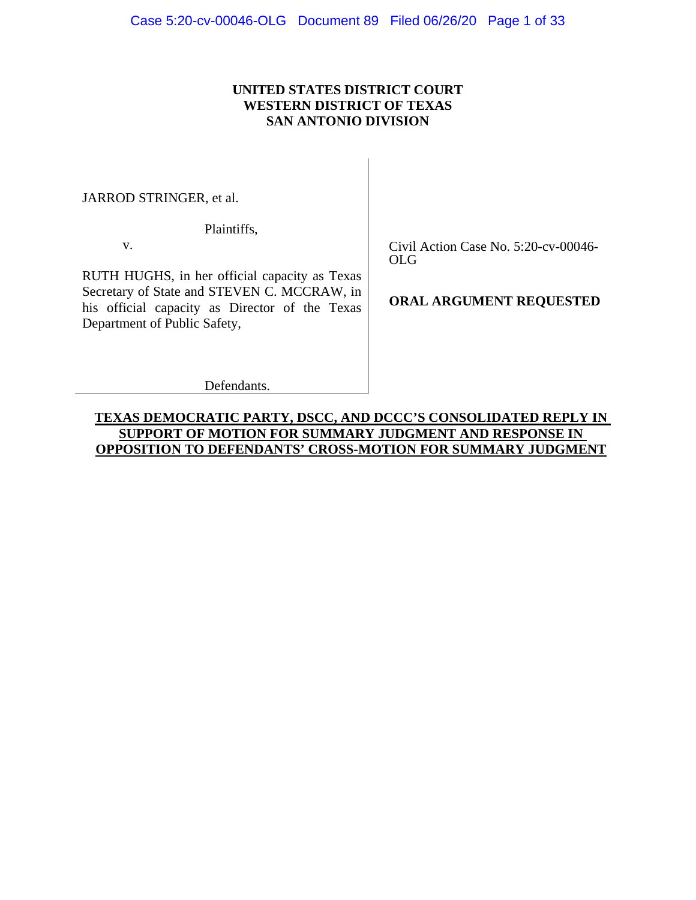## **UNITED STATES DISTRICT COURT WESTERN DISTRICT OF TEXAS SAN ANTONIO DIVISION**

JARROD STRINGER, et al.

Plaintiffs,

v.

RUTH HUGHS, in her official capacity as Texas Secretary of State and STEVEN C. MCCRAW, in his official capacity as Director of the Texas Department of Public Safety,

Civil Action Case No. 5:20-cv-00046- OLG

**ORAL ARGUMENT REQUESTED**

Defendants.

## **TEXAS DEMOCRATIC PARTY, DSCC, AND DCCC'S CONSOLIDATED REPLY IN SUPPORT OF MOTION FOR SUMMARY JUDGMENT AND RESPONSE IN OPPOSITION TO DEFENDANTS' CROSS-MOTION FOR SUMMARY JUDGMENT**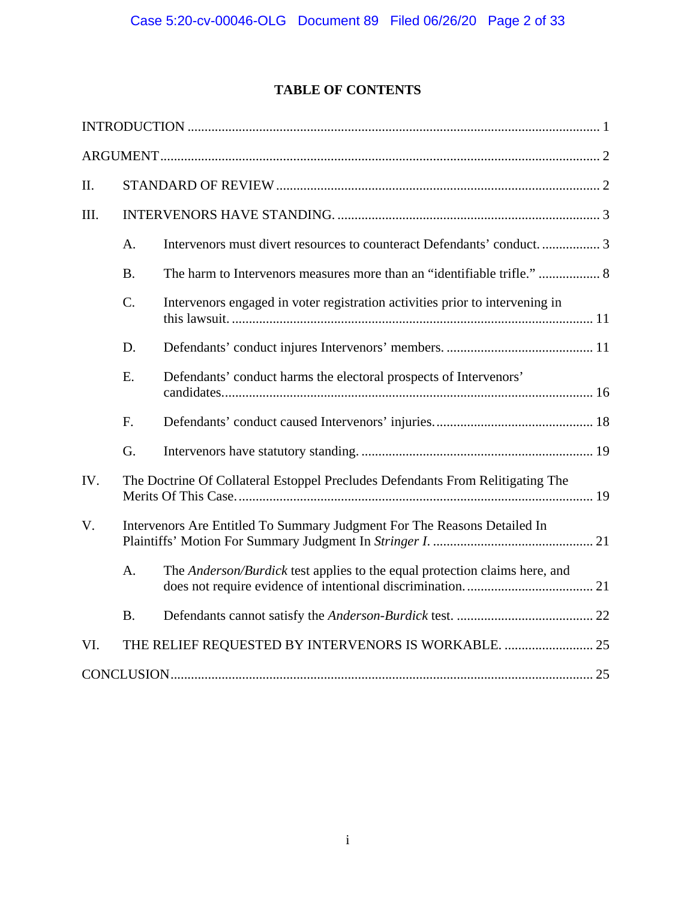# **TABLE OF CONTENTS**

| II.  |           |                                                                                |  |
|------|-----------|--------------------------------------------------------------------------------|--|
| III. |           |                                                                                |  |
|      | A.        | Intervenors must divert resources to counteract Defendants' conduct 3          |  |
|      | <b>B.</b> | The harm to Intervenors measures more than an "identifiable trifle."  8        |  |
|      | $C$ .     | Intervenors engaged in voter registration activities prior to intervening in   |  |
|      | D.        |                                                                                |  |
|      | Ε.        | Defendants' conduct harms the electoral prospects of Intervenors'              |  |
|      | F.        |                                                                                |  |
|      | G.        |                                                                                |  |
| IV.  |           | The Doctrine Of Collateral Estoppel Precludes Defendants From Relitigating The |  |
| V.   |           | Intervenors Are Entitled To Summary Judgment For The Reasons Detailed In       |  |
|      | A.        | The Anderson/Burdick test applies to the equal protection claims here, and     |  |
|      | <b>B.</b> |                                                                                |  |
| VI.  |           | THE RELIEF REQUESTED BY INTERVENORS IS WORKABLE.  25                           |  |
|      |           |                                                                                |  |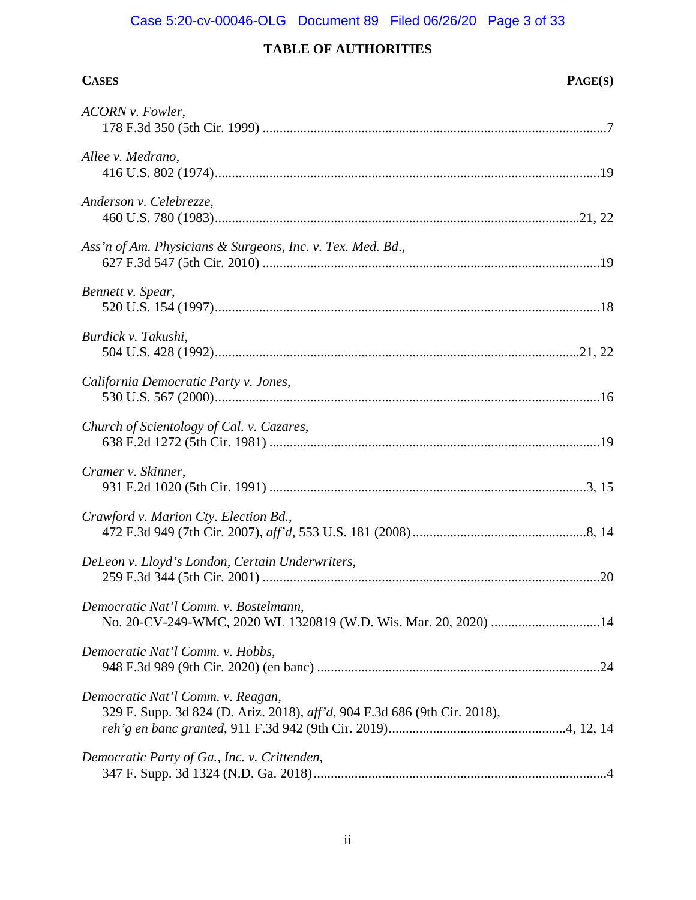# Case 5:20-cv-00046-OLG Document 89 Filed 06/26/20 Page 3 of 33

| <b>CASES</b>                                                                                                   | PAGE(S) |
|----------------------------------------------------------------------------------------------------------------|---------|
| ACORN v. Fowler,                                                                                               |         |
| Allee v. Medrano,                                                                                              |         |
| Anderson v. Celebrezze,                                                                                        |         |
| Ass'n of Am. Physicians & Surgeons, Inc. v. Tex. Med. Bd.,                                                     |         |
| Bennett v. Spear,                                                                                              |         |
| Burdick v. Takushi,                                                                                            |         |
| California Democratic Party v. Jones,                                                                          |         |
| Church of Scientology of Cal. v. Cazares,                                                                      |         |
| Cramer v. Skinner,                                                                                             |         |
| Crawford v. Marion Cty. Election Bd.,                                                                          |         |
| DeLeon v. Lloyd's London, Certain Underwriters,                                                                | .20     |
| Democratic Nat'l Comm. v. Bostelmann,<br>No. 20-CV-249-WMC, 2020 WL 1320819 (W.D. Wis. Mar. 20, 2020) 14       |         |
| Democratic Nat'l Comm. v. Hobbs,                                                                               |         |
| Democratic Nat'l Comm. v. Reagan,<br>329 F. Supp. 3d 824 (D. Ariz. 2018), aff'd, 904 F.3d 686 (9th Cir. 2018), |         |
| Democratic Party of Ga., Inc. v. Crittenden,                                                                   |         |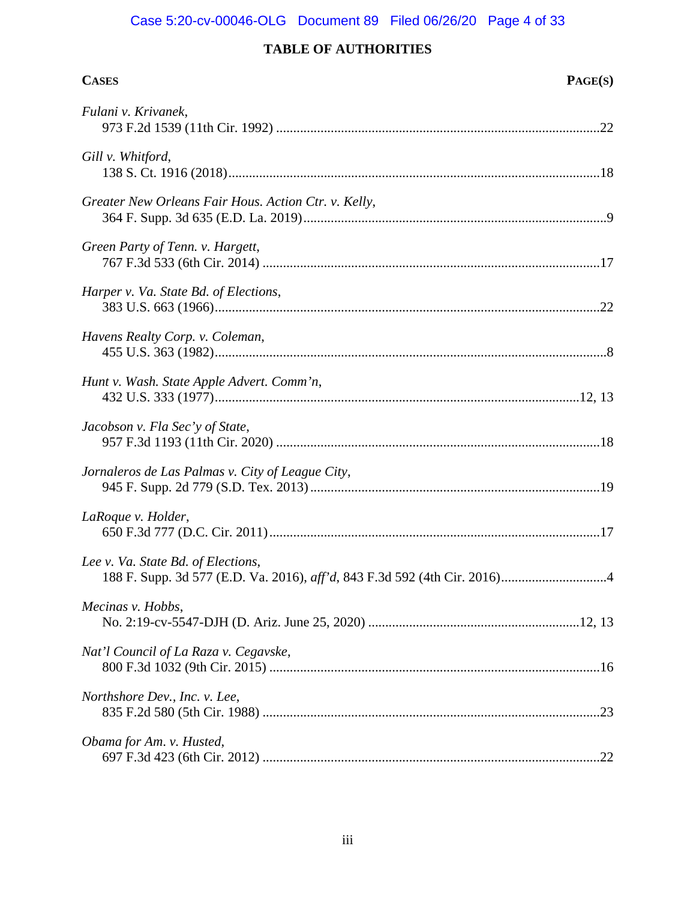# Case 5:20-cv-00046-OLG Document 89 Filed 06/26/20 Page 4 of 33

| <b>CASES</b>                                         | PAGE(S) |
|------------------------------------------------------|---------|
| Fulani v. Krivanek,                                  |         |
| Gill v. Whitford,                                    |         |
| Greater New Orleans Fair Hous. Action Ctr. v. Kelly, |         |
| Green Party of Tenn. v. Hargett,                     |         |
| Harper v. Va. State Bd. of Elections,                |         |
| Havens Realty Corp. v. Coleman,                      |         |
| Hunt v. Wash. State Apple Advert. Comm'n,            |         |
| Jacobson v. Fla Sec'y of State,                      |         |
| Jornaleros de Las Palmas v. City of League City,     |         |
| LaRoque v. Holder,                                   |         |
| Lee v. Va. State Bd. of Elections,                   | .4      |
| Mecinas v. Hobbs,                                    |         |
| Nat'l Council of La Raza v. Cegavske,                |         |
| Northshore Dev., Inc. v. Lee,                        |         |
| Obama for Am. v. Husted,                             |         |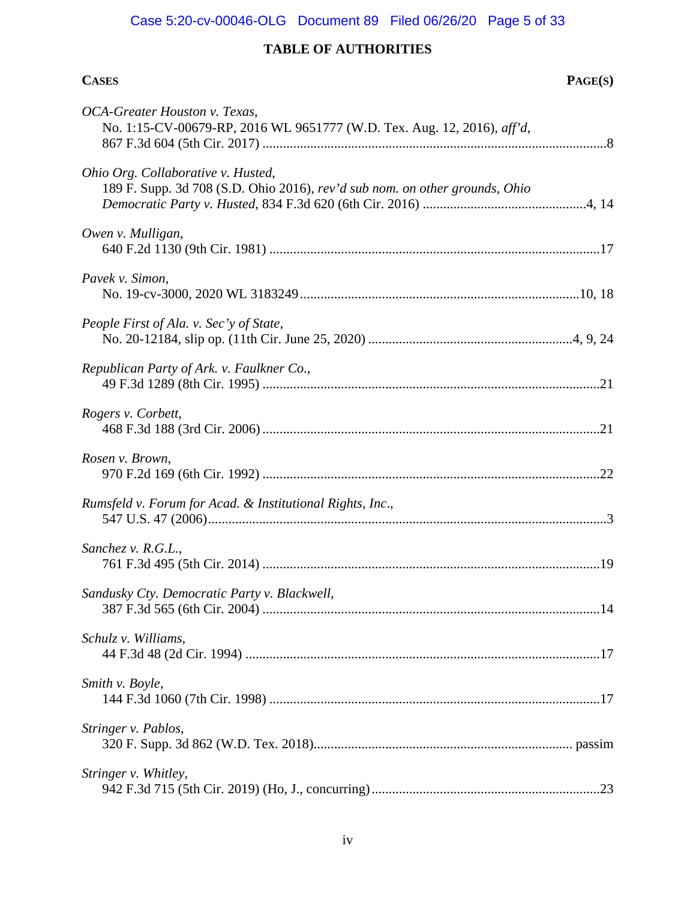# Case 5:20-cv-00046-OLG Document 89 Filed 06/26/20 Page 5 of 33

| <b>CASES</b>                                                                                                      | PAGE(S) |
|-------------------------------------------------------------------------------------------------------------------|---------|
| OCA-Greater Houston v. Texas,<br>No. 1:15-CV-00679-RP, 2016 WL 9651777 (W.D. Tex. Aug. 12, 2016), aff'd,          |         |
| Ohio Org. Collaborative v. Husted,<br>189 F. Supp. 3d 708 (S.D. Ohio 2016), rev'd sub nom. on other grounds, Ohio |         |
| Owen v. Mulligan,                                                                                                 |         |
| Pavek v. Simon,                                                                                                   |         |
| People First of Ala. v. Sec'y of State,                                                                           |         |
| Republican Party of Ark. v. Faulkner Co.,                                                                         |         |
| Rogers v. Corbett,                                                                                                |         |
| Rosen v. Brown,                                                                                                   |         |
| Rumsfeld v. Forum for Acad. & Institutional Rights, Inc.,                                                         |         |
| Sanchez v. R.G.L.,                                                                                                |         |
| Sandusky Cty. Democratic Party v. Blackwell,                                                                      |         |
| Schulz v. Williams,                                                                                               |         |
| Smith v. Boyle,                                                                                                   |         |
| Stringer v. Pablos,                                                                                               |         |
| Stringer v. Whitley,                                                                                              |         |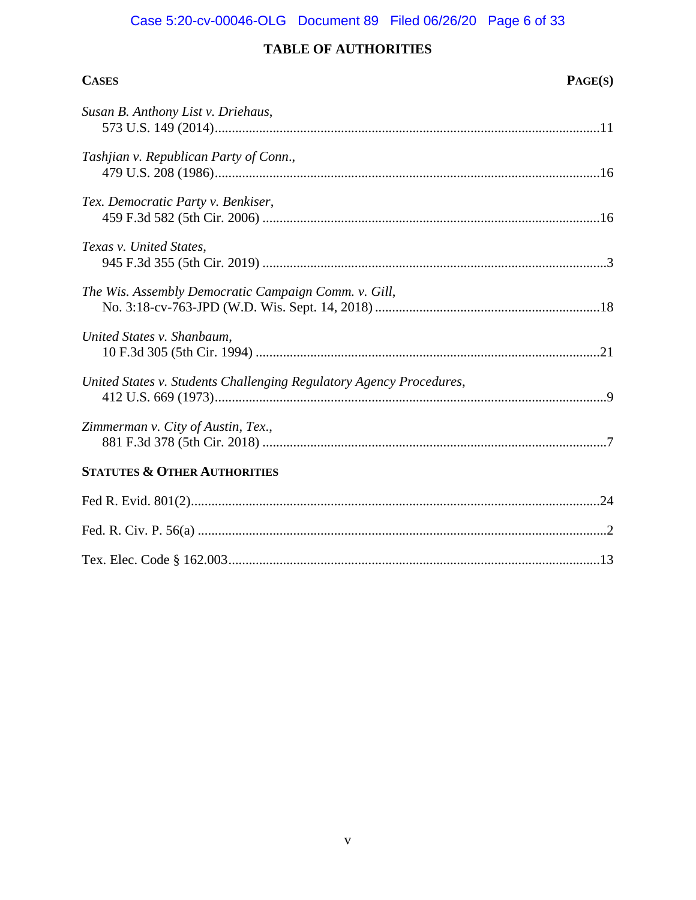# Case 5:20-cv-00046-OLG Document 89 Filed 06/26/20 Page 6 of 33

| <b>CASES</b>                                                        | PAGE(S) |
|---------------------------------------------------------------------|---------|
| Susan B. Anthony List v. Driehaus,                                  |         |
| Tashjian v. Republican Party of Conn.,                              |         |
| Tex. Democratic Party v. Benkiser,                                  |         |
| Texas v. United States,                                             |         |
| The Wis. Assembly Democratic Campaign Comm. v. Gill,                |         |
| United States v. Shanbaum,                                          |         |
| United States v. Students Challenging Regulatory Agency Procedures, |         |
| Zimmerman v. City of Austin, Tex.,                                  |         |
| <b>STATUTES &amp; OTHER AUTHORITIES</b>                             |         |
|                                                                     |         |
|                                                                     |         |
|                                                                     |         |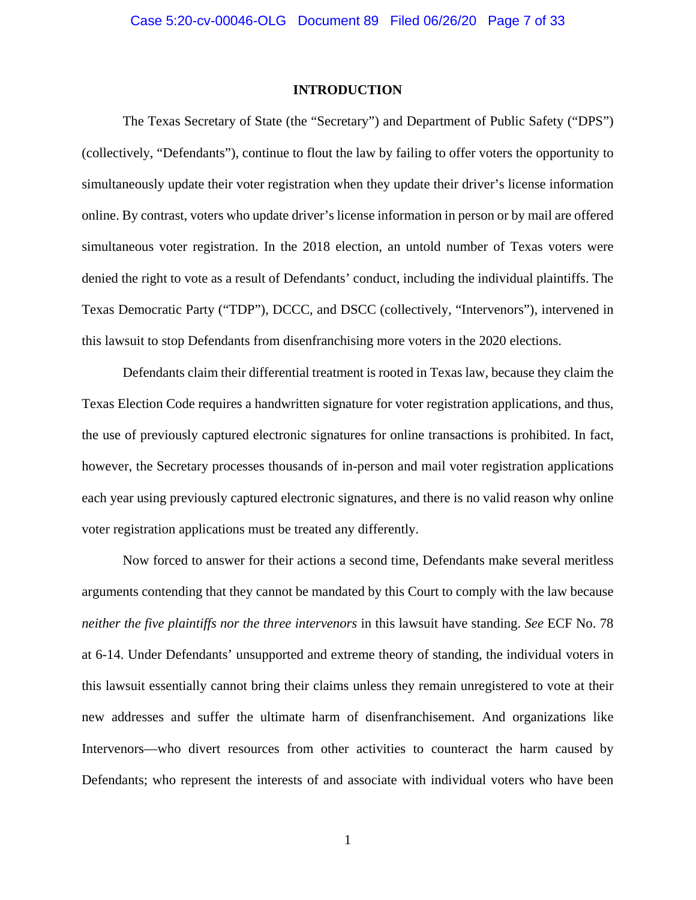#### **INTRODUCTION**

<span id="page-6-0"></span>The Texas Secretary of State (the "Secretary") and Department of Public Safety ("DPS") (collectively, "Defendants"), continue to flout the law by failing to offer voters the opportunity to simultaneously update their voter registration when they update their driver's license information online. By contrast, voters who update driver's license information in person or by mail are offered simultaneous voter registration. In the 2018 election, an untold number of Texas voters were denied the right to vote as a result of Defendants' conduct, including the individual plaintiffs. The Texas Democratic Party ("TDP"), DCCC, and DSCC (collectively, "Intervenors"), intervened in this lawsuit to stop Defendants from disenfranchising more voters in the 2020 elections.

Defendants claim their differential treatment is rooted in Texas law, because they claim the Texas Election Code requires a handwritten signature for voter registration applications, and thus, the use of previously captured electronic signatures for online transactions is prohibited. In fact, however, the Secretary processes thousands of in-person and mail voter registration applications each year using previously captured electronic signatures, and there is no valid reason why online voter registration applications must be treated any differently.

Now forced to answer for their actions a second time, Defendants make several meritless arguments contending that they cannot be mandated by this Court to comply with the law because *neither the five plaintiffs nor the three intervenors* in this lawsuit have standing. *See* ECF No. 78 at 6-14. Under Defendants' unsupported and extreme theory of standing, the individual voters in this lawsuit essentially cannot bring their claims unless they remain unregistered to vote at their new addresses and suffer the ultimate harm of disenfranchisement. And organizations like Intervenors—who divert resources from other activities to counteract the harm caused by Defendants; who represent the interests of and associate with individual voters who have been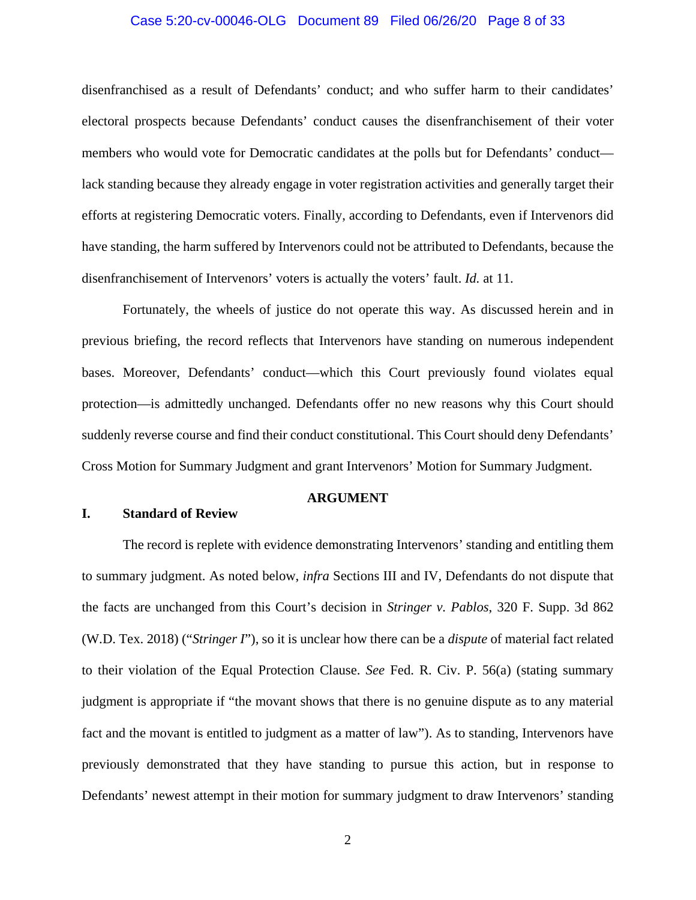## Case 5:20-cv-00046-OLG Document 89 Filed 06/26/20 Page 8 of 33

disenfranchised as a result of Defendants' conduct; and who suffer harm to their candidates' electoral prospects because Defendants' conduct causes the disenfranchisement of their voter members who would vote for Democratic candidates at the polls but for Defendants' conduct lack standing because they already engage in voter registration activities and generally target their efforts at registering Democratic voters. Finally, according to Defendants, even if Intervenors did have standing, the harm suffered by Intervenors could not be attributed to Defendants, because the disenfranchisement of Intervenors' voters is actually the voters' fault. *Id.* at 11.

Fortunately, the wheels of justice do not operate this way. As discussed herein and in previous briefing, the record reflects that Intervenors have standing on numerous independent bases. Moreover, Defendants' conduct—which this Court previously found violates equal protection—is admittedly unchanged. Defendants offer no new reasons why this Court should suddenly reverse course and find their conduct constitutional. This Court should deny Defendants' Cross Motion for Summary Judgment and grant Intervenors' Motion for Summary Judgment.

#### <span id="page-7-3"></span><span id="page-7-2"></span>**ARGUMENT**

## <span id="page-7-1"></span><span id="page-7-0"></span>**I. Standard of Review**

The record is replete with evidence demonstrating Intervenors' standing and entitling them to summary judgment. As noted below, *infra* Sections III and IV, Defendants do not dispute that the facts are unchanged from this Court's decision in *Stringer v. Pablos*, 320 F. Supp. 3d 862 (W.D. Tex. 2018) ("*Stringer I*"), so it is unclear how there can be a *dispute* of material fact related to their violation of the Equal Protection Clause. *See* Fed. R. Civ. P. 56(a) (stating summary judgment is appropriate if "the movant shows that there is no genuine dispute as to any material fact and the movant is entitled to judgment as a matter of law"). As to standing, Intervenors have previously demonstrated that they have standing to pursue this action, but in response to Defendants' newest attempt in their motion for summary judgment to draw Intervenors' standing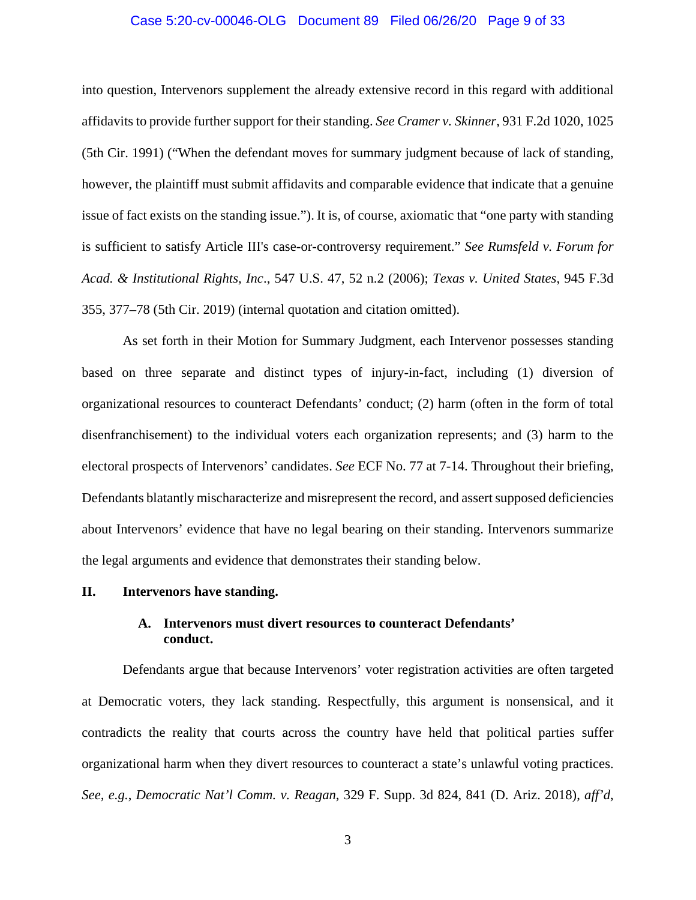## <span id="page-8-2"></span>Case 5:20-cv-00046-OLG Document 89 Filed 06/26/20 Page 9 of 33

into question, Intervenors supplement the already extensive record in this regard with additional affidavits to provide further support for their standing. *See Cramer v. Skinner*, 931 F.2d 1020, 1025 (5th Cir. 1991) ("When the defendant moves for summary judgment because of lack of standing, however, the plaintiff must submit affidavits and comparable evidence that indicate that a genuine issue of fact exists on the standing issue."). It is, of course, axiomatic that "one party with standing is sufficient to satisfy Article III's case-or-controversy requirement." *See Rumsfeld v. Forum for Acad. & Institutional Rights, Inc*., 547 U.S. 47, 52 n.2 (2006); *Texas v. United States*, 945 F.3d 355, 377–78 (5th Cir. 2019) (internal quotation and citation omitted).

<span id="page-8-5"></span><span id="page-8-4"></span>As set forth in their Motion for Summary Judgment, each Intervenor possesses standing based on three separate and distinct types of injury-in-fact, including (1) diversion of organizational resources to counteract Defendants' conduct; (2) harm (often in the form of total disenfranchisement) to the individual voters each organization represents; and (3) harm to the electoral prospects of Intervenors' candidates. *See* ECF No. 77 at 7-14. Throughout their briefing, Defendants blatantly mischaracterize and misrepresent the record, and assert supposed deficiencies about Intervenors' evidence that have no legal bearing on their standing. Intervenors summarize the legal arguments and evidence that demonstrates their standing below.

### <span id="page-8-1"></span><span id="page-8-0"></span>**II. Intervenors have standing.**

## **A. Intervenors must divert resources to counteract Defendants' conduct.**

<span id="page-8-3"></span>Defendants argue that because Intervenors' voter registration activities are often targeted at Democratic voters, they lack standing. Respectfully, this argument is nonsensical, and it contradicts the reality that courts across the country have held that political parties suffer organizational harm when they divert resources to counteract a state's unlawful voting practices. *See, e.g.*, *Democratic Nat'l Comm. v. Reagan*, 329 F. Supp. 3d 824, 841 (D. Ariz. 2018), *aff'd*,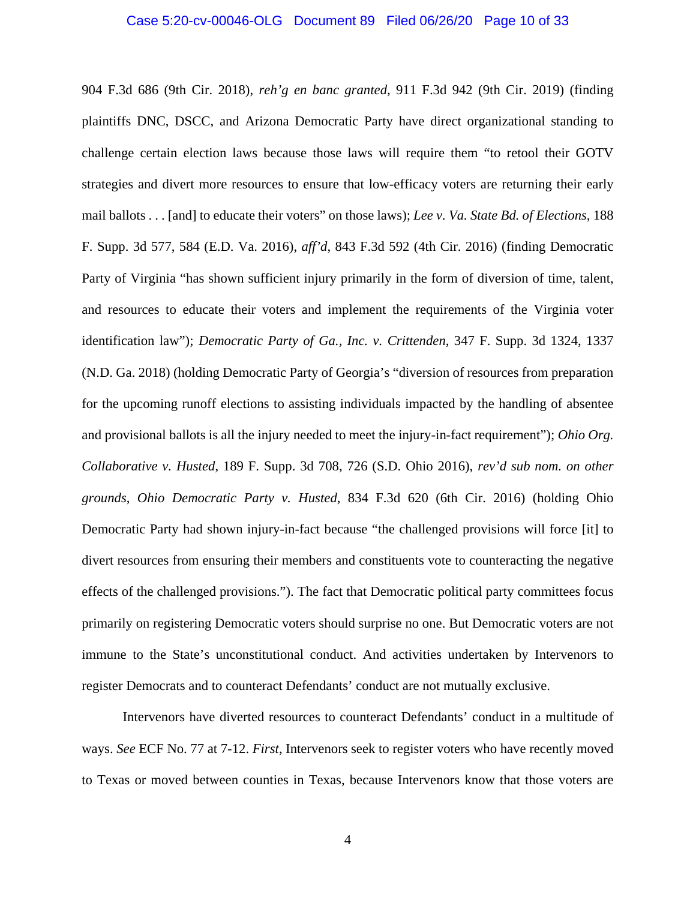### <span id="page-9-1"></span>Case 5:20-cv-00046-OLG Document 89 Filed 06/26/20 Page 10 of 33

<span id="page-9-0"></span>904 F.3d 686 (9th Cir. 2018), *reh'g en banc granted*, 911 F.3d 942 (9th Cir. 2019) (finding plaintiffs DNC, DSCC, and Arizona Democratic Party have direct organizational standing to challenge certain election laws because those laws will require them "to retool their GOTV strategies and divert more resources to ensure that low-efficacy voters are returning their early mail ballots . . . [and] to educate their voters" on those laws); *Lee v. Va. State Bd. of Elections*, 188 F. Supp. 3d 577, 584 (E.D. Va. 2016), *aff'd*, 843 F.3d 592 (4th Cir. 2016) (finding Democratic Party of Virginia "has shown sufficient injury primarily in the form of diversion of time, talent, and resources to educate their voters and implement the requirements of the Virginia voter identification law"); *Democratic Party of Ga., Inc. v. Crittenden*, 347 F. Supp. 3d 1324, 1337 (N.D. Ga. 2018) (holding Democratic Party of Georgia's "diversion of resources from preparation for the upcoming runoff elections to assisting individuals impacted by the handling of absentee and provisional ballots is all the injury needed to meet the injury-in-fact requirement"); *Ohio Org. Collaborative v. Husted*, 189 F. Supp. 3d 708, 726 (S.D. Ohio 2016), *rev'd sub nom. on other grounds*, *Ohio Democratic Party v. Husted*, 834 F.3d 620 (6th Cir. 2016) (holding Ohio Democratic Party had shown injury-in-fact because "the challenged provisions will force [it] to divert resources from ensuring their members and constituents vote to counteracting the negative effects of the challenged provisions."). The fact that Democratic political party committees focus primarily on registering Democratic voters should surprise no one. But Democratic voters are not immune to the State's unconstitutional conduct. And activities undertaken by Intervenors to register Democrats and to counteract Defendants' conduct are not mutually exclusive.

<span id="page-9-3"></span><span id="page-9-2"></span>Intervenors have diverted resources to counteract Defendants' conduct in a multitude of ways. *See* ECF No. 77 at 7-12. *First*, Intervenors seek to register voters who have recently moved to Texas or moved between counties in Texas, because Intervenors know that those voters are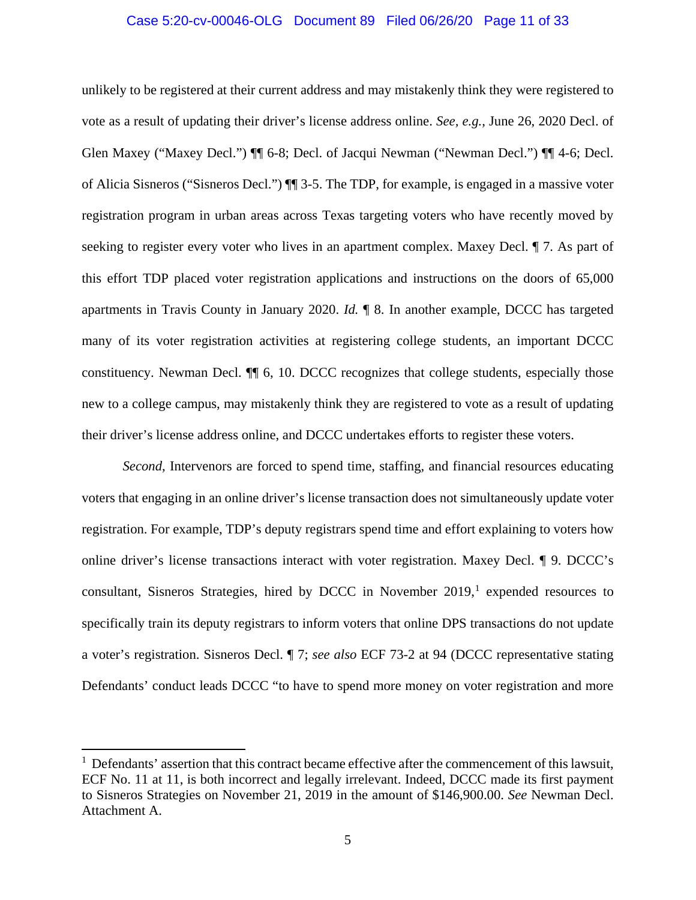## Case 5:20-cv-00046-OLG Document 89 Filed 06/26/20 Page 11 of 33

unlikely to be registered at their current address and may mistakenly think they were registered to vote as a result of updating their driver's license address online. *See, e.g.*, June 26, 2020 Decl. of Glen Maxey ("Maxey Decl.")  $\P\P$  6-8; Decl. of Jacqui Newman ("Newman Decl.")  $\P\P$  4-6; Decl. of Alicia Sisneros ("Sisneros Decl.") ¶¶ 3-5. The TDP, for example, is engaged in a massive voter registration program in urban areas across Texas targeting voters who have recently moved by seeking to register every voter who lives in an apartment complex. Maxey Decl. ¶ 7. As part of this effort TDP placed voter registration applications and instructions on the doors of 65,000 apartments in Travis County in January 2020. *Id.* ¶ 8. In another example, DCCC has targeted many of its voter registration activities at registering college students, an important DCCC constituency. Newman Decl. ¶¶ 6, 10. DCCC recognizes that college students, especially those new to a college campus, may mistakenly think they are registered to vote as a result of updating their driver's license address online, and DCCC undertakes efforts to register these voters.

*Second*, Intervenors are forced to spend time, staffing, and financial resources educating voters that engaging in an online driver's license transaction does not simultaneously update voter registration. For example, TDP's deputy registrars spend time and effort explaining to voters how online driver's license transactions interact with voter registration. Maxey Decl. ¶ 9. DCCC's consultant, Sisneros Strategies, hired by DCCC in November  $2019<sup>1</sup>$  $2019<sup>1</sup>$  $2019<sup>1</sup>$  expended resources to specifically train its deputy registrars to inform voters that online DPS transactions do not update a voter's registration. Sisneros Decl. ¶ 7; *see also* ECF 73-2 at 94 (DCCC representative stating Defendants' conduct leads DCCC "to have to spend more money on voter registration and more

 $\overline{a}$ 

<span id="page-10-0"></span><sup>&</sup>lt;sup>1</sup> Defendants' assertion that this contract became effective after the commencement of this lawsuit, ECF No. 11 at 11, is both incorrect and legally irrelevant. Indeed, DCCC made its first payment to Sisneros Strategies on November 21, 2019 in the amount of \$146,900.00. *See* Newman Decl. Attachment A.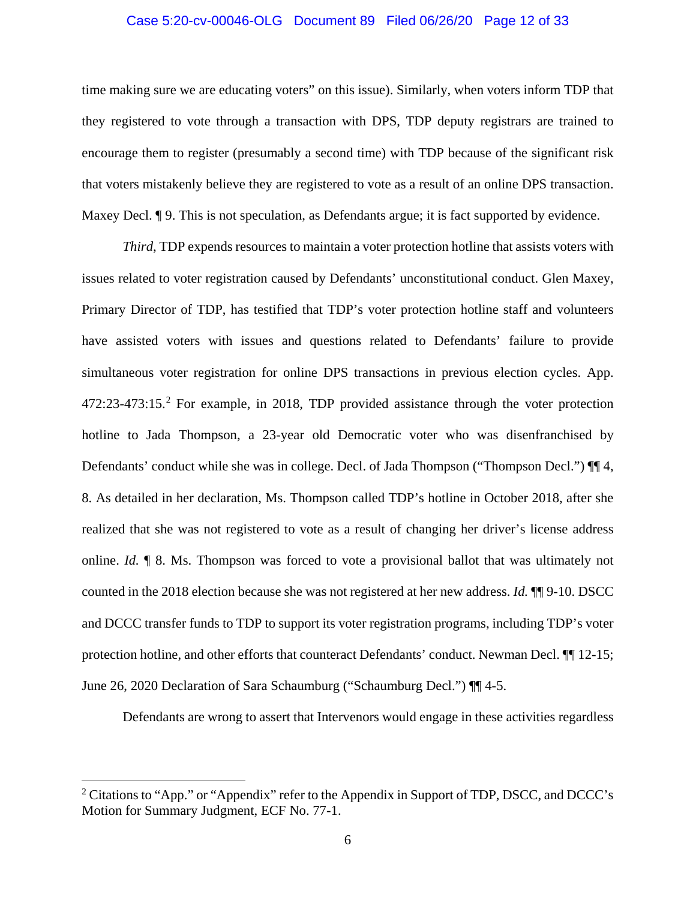## Case 5:20-cv-00046-OLG Document 89 Filed 06/26/20 Page 12 of 33

time making sure we are educating voters" on this issue). Similarly, when voters inform TDP that they registered to vote through a transaction with DPS, TDP deputy registrars are trained to encourage them to register (presumably a second time) with TDP because of the significant risk that voters mistakenly believe they are registered to vote as a result of an online DPS transaction. Maxey Decl. **[9.** This is not speculation, as Defendants argue; it is fact supported by evidence.

*Third*, TDP expends resources to maintain a voter protection hotline that assists voters with issues related to voter registration caused by Defendants' unconstitutional conduct. Glen Maxey, Primary Director of TDP, has testified that TDP's voter protection hotline staff and volunteers have assisted voters with issues and questions related to Defendants' failure to provide simultaneous voter registration for online DPS transactions in previous election cycles. App. 47[2](#page-11-0):23-473:15.<sup>2</sup> For example, in 2018, TDP provided assistance through the voter protection hotline to Jada Thompson, a 23-year old Democratic voter who was disenfranchised by Defendants' conduct while she was in college. Decl. of Jada Thompson ("Thompson Decl.")  $\P$  4, 8. As detailed in her declaration, Ms. Thompson called TDP's hotline in October 2018, after she realized that she was not registered to vote as a result of changing her driver's license address online. *Id.* ¶ 8. Ms. Thompson was forced to vote a provisional ballot that was ultimately not counted in the 2018 election because she was not registered at her new address. *Id.* ¶¶ 9-10. DSCC and DCCC transfer funds to TDP to support its voter registration programs, including TDP's voter protection hotline, and other efforts that counteract Defendants' conduct. Newman Decl. ¶¶ 12-15; June 26, 2020 Declaration of Sara Schaumburg ("Schaumburg Decl.") ¶¶ 4-5.

Defendants are wrong to assert that Intervenors would engage in these activities regardless

 $\overline{\phantom{a}}$ 

<span id="page-11-0"></span> $2$  Citations to "App." or "Appendix" refer to the Appendix in Support of TDP, DSCC, and DCCC's Motion for Summary Judgment, ECF No. 77-1.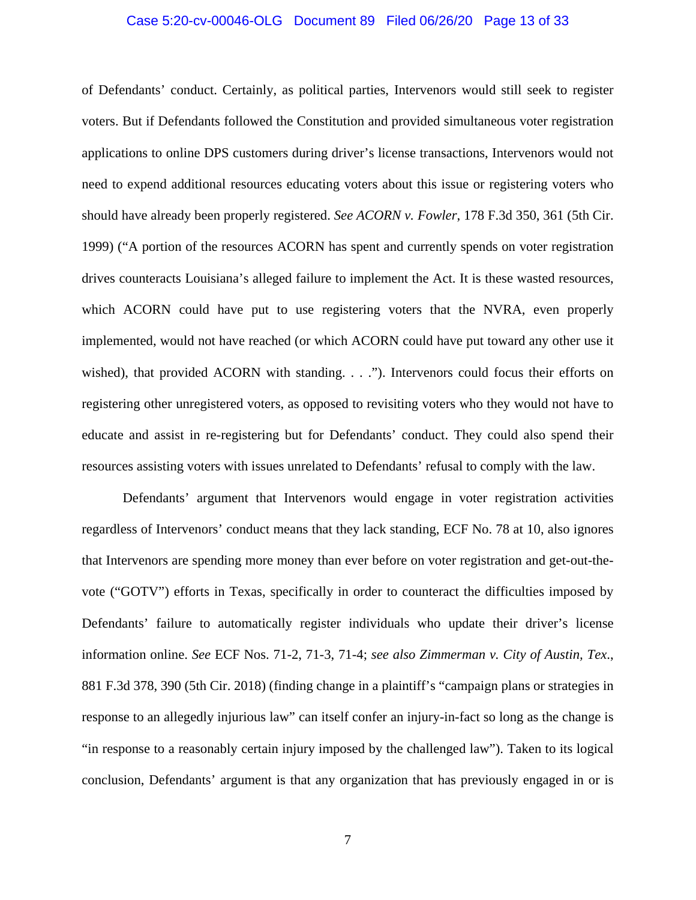## <span id="page-12-0"></span>Case 5:20-cv-00046-OLG Document 89 Filed 06/26/20 Page 13 of 33

of Defendants' conduct. Certainly, as political parties, Intervenors would still seek to register voters. But if Defendants followed the Constitution and provided simultaneous voter registration applications to online DPS customers during driver's license transactions, Intervenors would not need to expend additional resources educating voters about this issue or registering voters who should have already been properly registered. *See ACORN v. Fowler*, 178 F.3d 350, 361 (5th Cir. 1999) ("A portion of the resources ACORN has spent and currently spends on voter registration drives counteracts Louisiana's alleged failure to implement the Act. It is these wasted resources, which ACORN could have put to use registering voters that the NVRA, even properly implemented, would not have reached (or which ACORN could have put toward any other use it wished), that provided ACORN with standing. . . ."). Intervenors could focus their efforts on registering other unregistered voters, as opposed to revisiting voters who they would not have to educate and assist in re-registering but for Defendants' conduct. They could also spend their resources assisting voters with issues unrelated to Defendants' refusal to comply with the law.

<span id="page-12-1"></span>Defendants' argument that Intervenors would engage in voter registration activities regardless of Intervenors' conduct means that they lack standing, ECF No. 78 at 10, also ignores that Intervenors are spending more money than ever before on voter registration and get-out-thevote ("GOTV") efforts in Texas, specifically in order to counteract the difficulties imposed by Defendants' failure to automatically register individuals who update their driver's license information online. *See* ECF Nos. 71-2, 71-3, 71-4; *see also Zimmerman v. City of Austin, Tex*., 881 F.3d 378, 390 (5th Cir. 2018) (finding change in a plaintiff's "campaign plans or strategies in response to an allegedly injurious law" can itself confer an injury-in-fact so long as the change is "in response to a reasonably certain injury imposed by the challenged law"). Taken to its logical conclusion, Defendants' argument is that any organization that has previously engaged in or is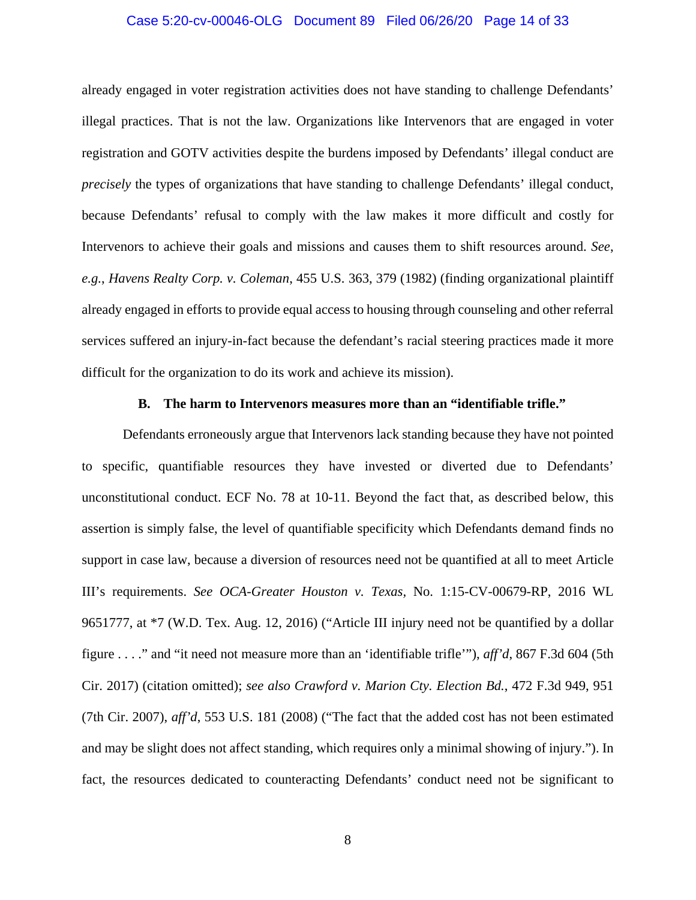## Case 5:20-cv-00046-OLG Document 89 Filed 06/26/20 Page 14 of 33

already engaged in voter registration activities does not have standing to challenge Defendants' illegal practices. That is not the law. Organizations like Intervenors that are engaged in voter registration and GOTV activities despite the burdens imposed by Defendants' illegal conduct are *precisely* the types of organizations that have standing to challenge Defendants' illegal conduct, because Defendants' refusal to comply with the law makes it more difficult and costly for Intervenors to achieve their goals and missions and causes them to shift resources around. *See*, *e.g.*, *Havens Realty Corp. v. Coleman*, 455 U.S. 363, 379 (1982) (finding organizational plaintiff already engaged in efforts to provide equal access to housing through counseling and other referral services suffered an injury-in-fact because the defendant's racial steering practices made it more difficult for the organization to do its work and achieve its mission).

## <span id="page-13-3"></span><span id="page-13-2"></span><span id="page-13-1"></span>**B. The harm to Intervenors measures more than an "identifiable trifle."**

<span id="page-13-0"></span>Defendants erroneously argue that Intervenors lack standing because they have not pointed to specific, quantifiable resources they have invested or diverted due to Defendants' unconstitutional conduct. ECF No. 78 at 10-11. Beyond the fact that, as described below, this assertion is simply false, the level of quantifiable specificity which Defendants demand finds no support in case law, because a diversion of resources need not be quantified at all to meet Article III's requirements. *See OCA-Greater Houston v. Texas,* No. 1:15-CV-00679-RP, 2016 WL 9651777, at \*7 (W.D. Tex. Aug. 12, 2016) ("Article III injury need not be quantified by a dollar figure . . . ." and "it need not measure more than an 'identifiable trifle'"), *aff'd*, 867 F.3d 604 (5th Cir. 2017) (citation omitted); *see also Crawford v. Marion Cty. Election Bd.*, 472 F.3d 949, 951 (7th Cir. 2007), *aff'd*, 553 U.S. 181 (2008) ("The fact that the added cost has not been estimated and may be slight does not affect standing, which requires only a minimal showing of injury."). In fact, the resources dedicated to counteracting Defendants' conduct need not be significant to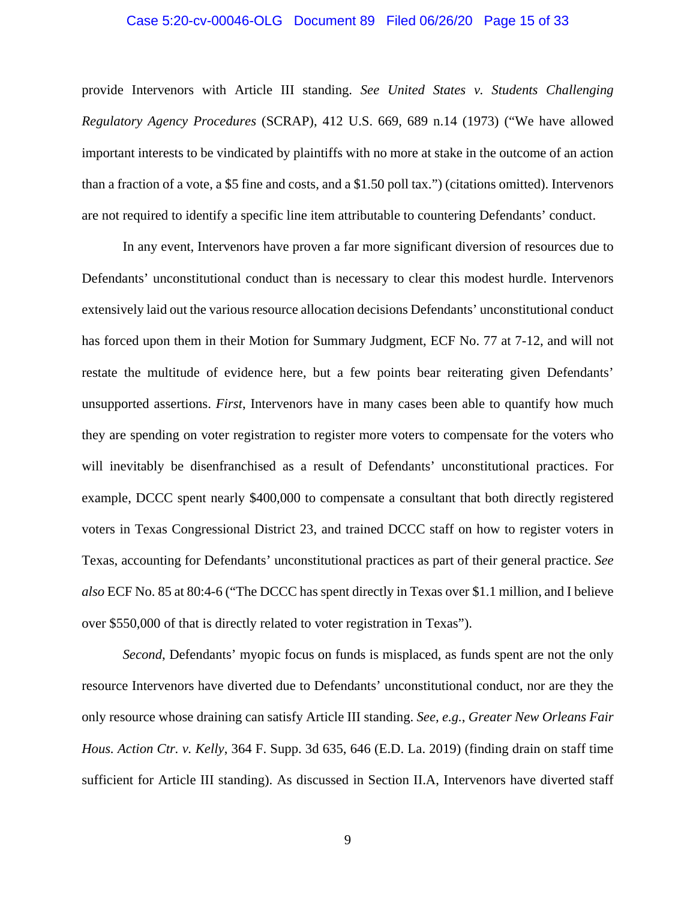## <span id="page-14-2"></span>Case 5:20-cv-00046-OLG Document 89 Filed 06/26/20 Page 15 of 33

provide Intervenors with Article III standing. *See United States v. Students Challenging Regulatory Agency Procedures* (SCRAP), 412 U.S. 669, 689 n.14 (1973) ("We have allowed important interests to be vindicated by plaintiffs with no more at stake in the outcome of an action than a fraction of a vote, a \$5 fine and costs, and a \$1.50 poll tax.") (citations omitted). Intervenors are not required to identify a specific line item attributable to countering Defendants' conduct.

<span id="page-14-1"></span>In any event, Intervenors have proven a far more significant diversion of resources due to Defendants' unconstitutional conduct than is necessary to clear this modest hurdle. Intervenors extensively laid out the various resource allocation decisions Defendants' unconstitutional conduct has forced upon them in their Motion for Summary Judgment, ECF No. 77 at 7-12, and will not restate the multitude of evidence here, but a few points bear reiterating given Defendants' unsupported assertions. *First*, Intervenors have in many cases been able to quantify how much they are spending on voter registration to register more voters to compensate for the voters who will inevitably be disenfranchised as a result of Defendants' unconstitutional practices. For example, DCCC spent nearly \$400,000 to compensate a consultant that both directly registered voters in Texas Congressional District 23, and trained DCCC staff on how to register voters in Texas, accounting for Defendants' unconstitutional practices as part of their general practice. *See also* ECF No. 85 at 80:4-6 ("The DCCC has spent directly in Texas over \$1.1 million, and I believe over \$550,000 of that is directly related to voter registration in Texas").

<span id="page-14-0"></span>*Second*, Defendants' myopic focus on funds is misplaced, as funds spent are not the only resource Intervenors have diverted due to Defendants' unconstitutional conduct, nor are they the only resource whose draining can satisfy Article III standing. *See, e.g.*, *Greater New Orleans Fair Hous. Action Ctr. v. Kelly*, 364 F. Supp. 3d 635, 646 (E.D. La. 2019) (finding drain on staff time sufficient for Article III standing). As discussed in Section II.A, Intervenors have diverted staff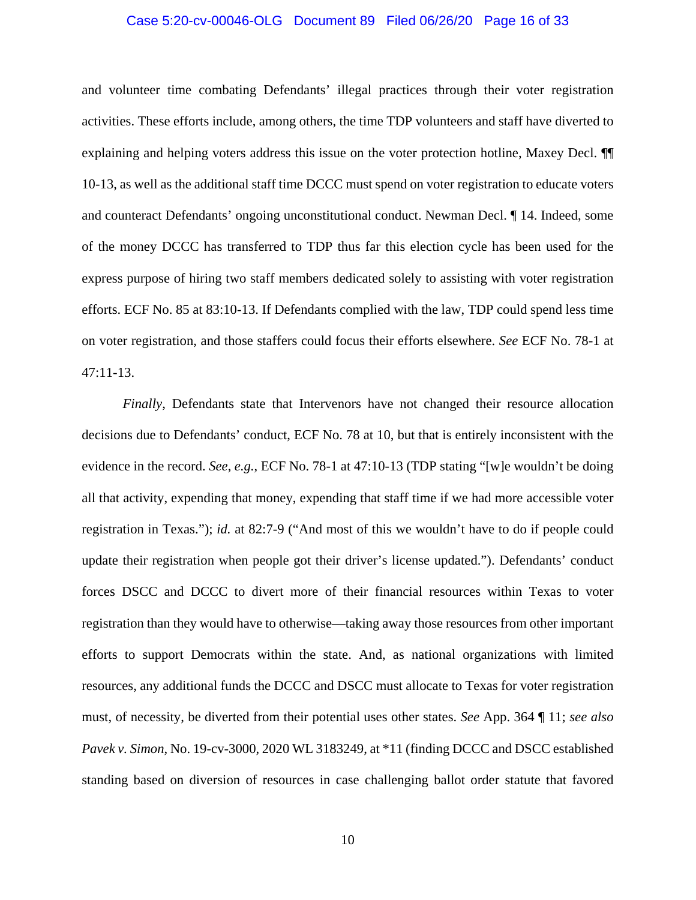## Case 5:20-cv-00046-OLG Document 89 Filed 06/26/20 Page 16 of 33

and volunteer time combating Defendants' illegal practices through their voter registration activities. These efforts include, among others, the time TDP volunteers and staff have diverted to explaining and helping voters address this issue on the voter protection hotline, Maxey Decl. ¶¶ 10-13, as well as the additional staff time DCCC must spend on voter registration to educate voters and counteract Defendants' ongoing unconstitutional conduct. Newman Decl. ¶ 14. Indeed, some of the money DCCC has transferred to TDP thus far this election cycle has been used for the express purpose of hiring two staff members dedicated solely to assisting with voter registration efforts. ECF No. 85 at 83:10-13. If Defendants complied with the law, TDP could spend less time on voter registration, and those staffers could focus their efforts elsewhere. *See* ECF No. 78-1 at 47:11-13.

<span id="page-15-0"></span>*Finally*, Defendants state that Intervenors have not changed their resource allocation decisions due to Defendants' conduct, ECF No. 78 at 10, but that is entirely inconsistent with the evidence in the record. *See*, *e.g.*, ECF No. 78-1 at 47:10-13 (TDP stating "[w]e wouldn't be doing all that activity, expending that money, expending that staff time if we had more accessible voter registration in Texas."); *id.* at 82:7-9 ("And most of this we wouldn't have to do if people could update their registration when people got their driver's license updated."). Defendants' conduct forces DSCC and DCCC to divert more of their financial resources within Texas to voter registration than they would have to otherwise—taking away those resources from other important efforts to support Democrats within the state. And, as national organizations with limited resources, any additional funds the DCCC and DSCC must allocate to Texas for voter registration must, of necessity, be diverted from their potential uses other states. *See* App. 364 ¶ 11; *see also Pavek v. Simon*, No. 19-cv-3000, 2020 WL 3183249, at \*11 (finding DCCC and DSCC established standing based on diversion of resources in case challenging ballot order statute that favored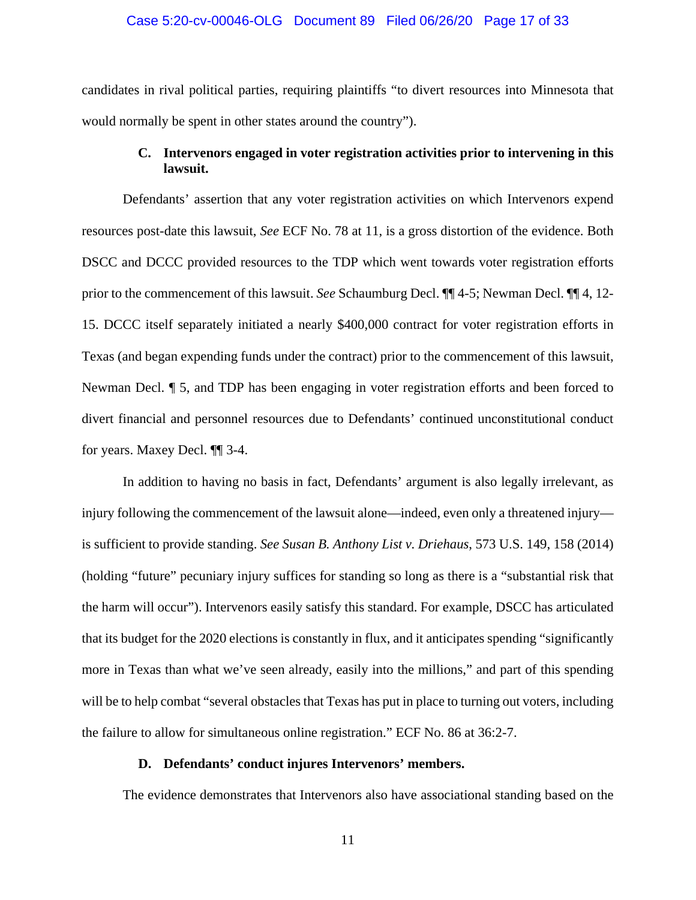### Case 5:20-cv-00046-OLG Document 89 Filed 06/26/20 Page 17 of 33

candidates in rival political parties, requiring plaintiffs "to divert resources into Minnesota that would normally be spent in other states around the country").

## **C. Intervenors engaged in voter registration activities prior to intervening in this lawsuit.**

<span id="page-16-0"></span>Defendants' assertion that any voter registration activities on which Intervenors expend resources post-date this lawsuit, *See* ECF No. 78 at 11, is a gross distortion of the evidence. Both DSCC and DCCC provided resources to the TDP which went towards voter registration efforts prior to the commencement of this lawsuit. *See* Schaumburg Decl. ¶¶ 4-5; Newman Decl. ¶¶ 4, 12- 15. DCCC itself separately initiated a nearly \$400,000 contract for voter registration efforts in Texas (and began expending funds under the contract) prior to the commencement of this lawsuit, Newman Decl. ¶ 5, and TDP has been engaging in voter registration efforts and been forced to divert financial and personnel resources due to Defendants' continued unconstitutional conduct for years. Maxey Decl. ¶¶ 3-4.

<span id="page-16-2"></span>In addition to having no basis in fact, Defendants' argument is also legally irrelevant, as injury following the commencement of the lawsuit alone—indeed, even only a threatened injury is sufficient to provide standing. *See Susan B. Anthony List v. Driehaus*, 573 U.S. 149, 158 (2014) (holding "future" pecuniary injury suffices for standing so long as there is a "substantial risk that the harm will occur"). Intervenors easily satisfy this standard. For example, DSCC has articulated that its budget for the 2020 elections is constantly in flux, and it anticipates spending "significantly more in Texas than what we've seen already, easily into the millions," and part of this spending will be to help combat "several obstacles that Texas has put in place to turning out voters, including the failure to allow for simultaneous online registration." ECF No. 86 at 36:2-7.

## **D. Defendants' conduct injures Intervenors' members.**

<span id="page-16-1"></span>The evidence demonstrates that Intervenors also have associational standing based on the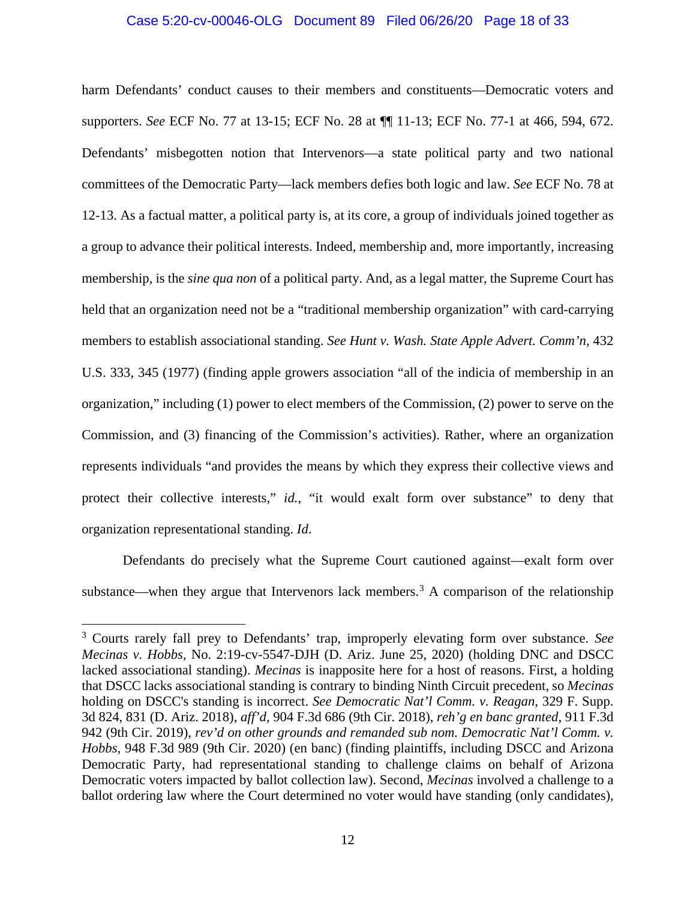## Case 5:20-cv-00046-OLG Document 89 Filed 06/26/20 Page 18 of 33

harm Defendants' conduct causes to their members and constituents—Democratic voters and supporters. *See* ECF No. 77 at 13-15; ECF No. 28 at ¶¶ 11-13; ECF No. 77-1 at 466, 594, 672. Defendants' misbegotten notion that Intervenors—a state political party and two national committees of the Democratic Party—lack members defies both logic and law. *See* ECF No. 78 at 12-13. As a factual matter, a political party is, at its core, a group of individuals joined together as a group to advance their political interests. Indeed, membership and, more importantly, increasing membership, is the *sine qua non* of a political party. And, as a legal matter, the Supreme Court has held that an organization need not be a "traditional membership organization" with card-carrying members to establish associational standing. *See Hunt v. Wash. State Apple Advert. Comm'n*, 432 U.S. 333, 345 (1977) (finding apple growers association "all of the indicia of membership in an organization," including (1) power to elect members of the Commission, (2) power to serve on the Commission, and (3) financing of the Commission's activities). Rather, where an organization represents individuals "and provides the means by which they express their collective views and protect their collective interests," *id.*, "it would exalt form over substance" to deny that organization representational standing. *Id*.

<span id="page-17-1"></span>Defendants do precisely what the Supreme Court cautioned against—exalt form over substance—when they argue that Intervenors lack members.<sup>[3](#page-17-4)</sup> A comparison of the relationship

 $\overline{\phantom{a}}$ 

<span id="page-17-4"></span><span id="page-17-3"></span><span id="page-17-2"></span><span id="page-17-0"></span><sup>3</sup> Courts rarely fall prey to Defendants' trap, improperly elevating form over substance. *See Mecinas v. Hobbs*, No. 2:19-cv-5547-DJH (D. Ariz. June 25, 2020) (holding DNC and DSCC lacked associational standing). *Mecinas* is inapposite here for a host of reasons. First, a holding that DSCC lacks associational standing is contrary to binding Ninth Circuit precedent, so *Mecinas*  holding on DSCC's standing is incorrect. *See Democratic Nat'l Comm. v. Reagan*, 329 F. Supp. 3d 824, 831 (D. Ariz. 2018), *aff'd*, 904 F.3d 686 (9th Cir. 2018), *reh'g en banc granted*, 911 F.3d 942 (9th Cir. 2019), *rev'd on other grounds and remanded sub nom. Democratic Nat'l Comm. v. Hobbs*, 948 F.3d 989 (9th Cir. 2020) (en banc) (finding plaintiffs, including DSCC and Arizona Democratic Party, had representational standing to challenge claims on behalf of Arizona Democratic voters impacted by ballot collection law). Second, *Mecinas* involved a challenge to a ballot ordering law where the Court determined no voter would have standing (only candidates),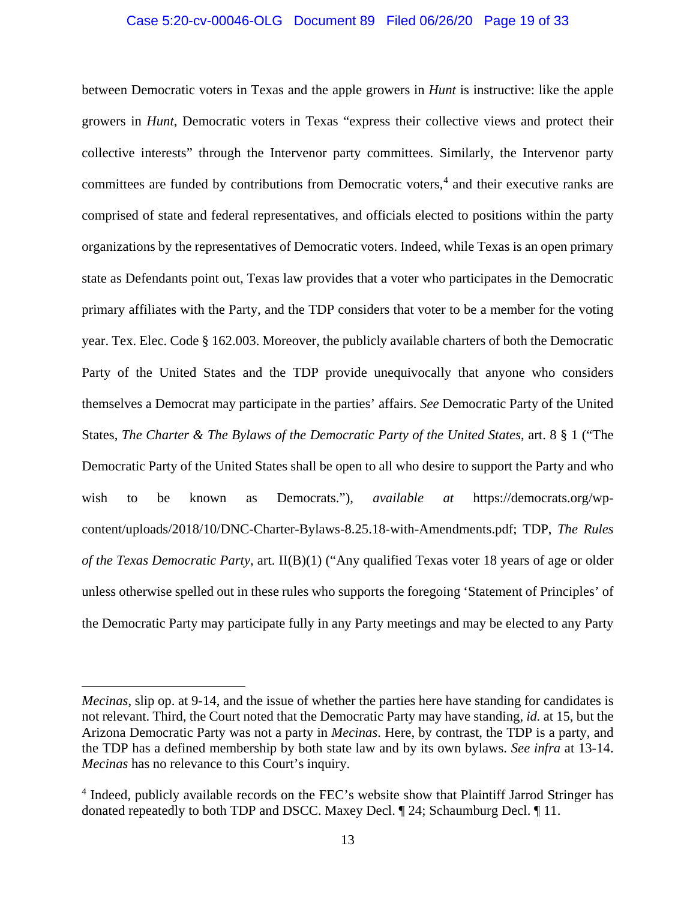## <span id="page-18-0"></span>Case 5:20-cv-00046-OLG Document 89 Filed 06/26/20 Page 19 of 33

<span id="page-18-1"></span>between Democratic voters in Texas and the apple growers in *Hunt* is instructive: like the apple growers in *Hunt*, Democratic voters in Texas "express their collective views and protect their collective interests" through the Intervenor party committees. Similarly, the Intervenor party committees are funded by contributions from Democratic voters,<sup>[4](#page-18-2)</sup> and their executive ranks are comprised of state and federal representatives, and officials elected to positions within the party organizations by the representatives of Democratic voters. Indeed, while Texas is an open primary state as Defendants point out, Texas law provides that a voter who participates in the Democratic primary affiliates with the Party, and the TDP considers that voter to be a member for the voting year. Tex. Elec. Code § 162.003. Moreover, the publicly available charters of both the Democratic Party of the United States and the TDP provide unequivocally that anyone who considers themselves a Democrat may participate in the parties' affairs. *See* Democratic Party of the United States, *The Charter & The Bylaws of the Democratic Party of the United States*, art. 8 § 1 ("The Democratic Party of the United States shall be open to all who desire to support the Party and who wish to be known as Democrats."), *available at* https://democrats.org/wpcontent/uploads/2018/10/DNC-Charter-Bylaws-8.25.18-with-Amendments.pdf; TDP, *The Rules of the Texas Democratic Party*, art. II(B)(1) ("Any qualified Texas voter 18 years of age or older unless otherwise spelled out in these rules who supports the foregoing 'Statement of Principles' of the Democratic Party may participate fully in any Party meetings and may be elected to any Party

 $\overline{\phantom{a}}$ 

*Mecinas*, slip op. at 9-14, and the issue of whether the parties here have standing for candidates is not relevant. Third, the Court noted that the Democratic Party may have standing, *id.* at 15, but the Arizona Democratic Party was not a party in *Mecinas*. Here, by contrast, the TDP is a party, and the TDP has a defined membership by both state law and by its own bylaws. *See infra* at 13-14. *Mecinas* has no relevance to this Court's inquiry.

<span id="page-18-2"></span><sup>4</sup> Indeed, publicly available records on the FEC's website show that Plaintiff Jarrod Stringer has donated repeatedly to both TDP and DSCC. Maxey Decl. ¶ 24; Schaumburg Decl. ¶ 11.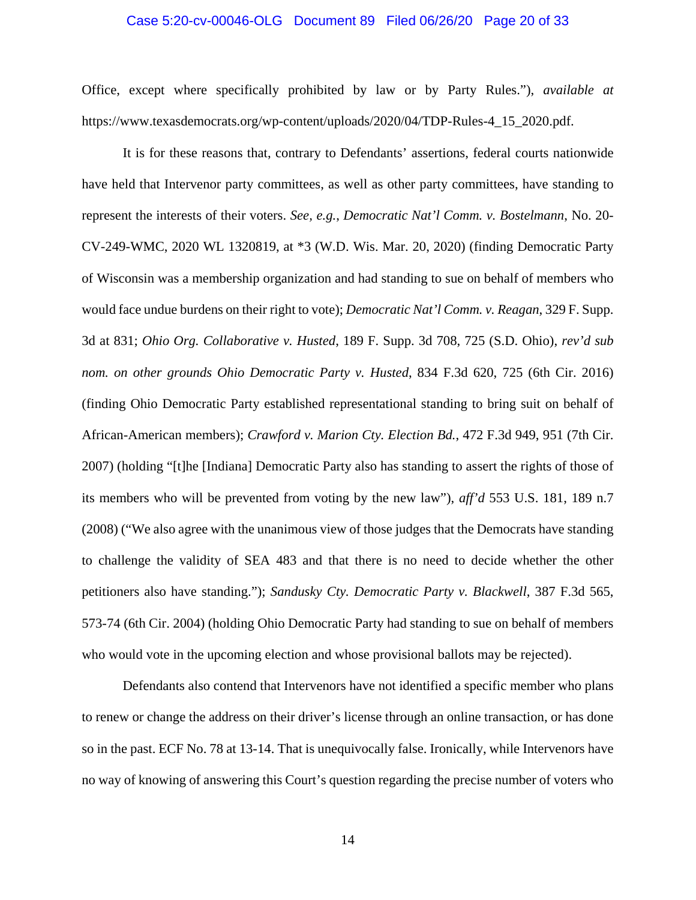### Case 5:20-cv-00046-OLG Document 89 Filed 06/26/20 Page 20 of 33

Office, except where specifically prohibited by law or by Party Rules."), *available at* https://www.texasdemocrats.org/wp-content/uploads/2020/04/TDP-Rules-4\_15\_2020.pdf.

<span id="page-19-3"></span><span id="page-19-2"></span><span id="page-19-1"></span>It is for these reasons that, contrary to Defendants' assertions, federal courts nationwide have held that Intervenor party committees, as well as other party committees, have standing to represent the interests of their voters. *See, e.g.*, *Democratic Nat'l Comm. v. Bostelmann*, No. 20- CV-249-WMC, 2020 WL 1320819, at \*3 (W.D. Wis. Mar. 20, 2020) (finding Democratic Party of Wisconsin was a membership organization and had standing to sue on behalf of members who would face undue burdens on their right to vote); *Democratic Nat'l Comm. v. Reagan*, 329 F. Supp. 3d at 831; *Ohio Org. Collaborative v. Husted*, 189 F. Supp. 3d 708, 725 (S.D. Ohio), *rev'd sub nom. on other grounds Ohio Democratic Party v. Husted*, 834 F.3d 620, 725 (6th Cir. 2016) (finding Ohio Democratic Party established representational standing to bring suit on behalf of African-American members); *Crawford v. Marion Cty. Election Bd.*, 472 F.3d 949, 951 (7th Cir. 2007) (holding "[t]he [Indiana] Democratic Party also has standing to assert the rights of those of its members who will be prevented from voting by the new law"), *aff'd* 553 U.S. 181, 189 n.7 (2008) ("We also agree with the unanimous view of those judges that the Democrats have standing to challenge the validity of SEA 483 and that there is no need to decide whether the other petitioners also have standing."); *Sandusky Cty. Democratic Party v. Blackwell*, 387 F.3d 565, 573-74 (6th Cir. 2004) (holding Ohio Democratic Party had standing to sue on behalf of members who would vote in the upcoming election and whose provisional ballots may be rejected).

<span id="page-19-4"></span><span id="page-19-0"></span>Defendants also contend that Intervenors have not identified a specific member who plans to renew or change the address on their driver's license through an online transaction, or has done so in the past. ECF No. 78 at 13-14. That is unequivocally false. Ironically, while Intervenors have no way of knowing of answering this Court's question regarding the precise number of voters who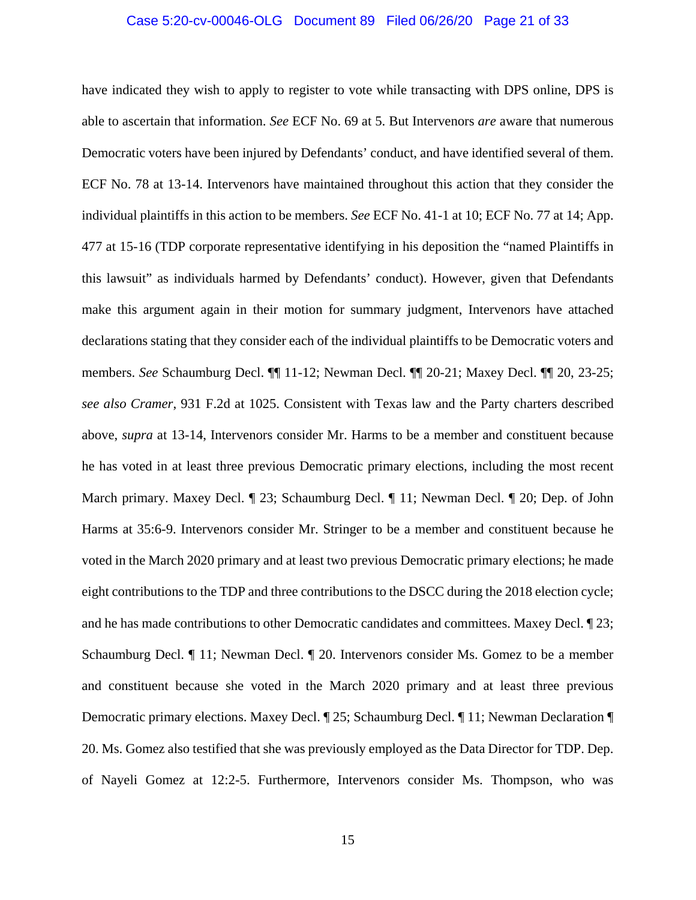## Case 5:20-cv-00046-OLG Document 89 Filed 06/26/20 Page 21 of 33

<span id="page-20-0"></span>have indicated they wish to apply to register to vote while transacting with DPS online, DPS is able to ascertain that information. *See* ECF No. 69 at 5. But Intervenors *are* aware that numerous Democratic voters have been injured by Defendants' conduct, and have identified several of them. ECF No. 78 at 13-14. Intervenors have maintained throughout this action that they consider the individual plaintiffs in this action to be members. *See* ECF No. 41-1 at 10; ECF No. 77 at 14; App. 477 at 15-16 (TDP corporate representative identifying in his deposition the "named Plaintiffs in this lawsuit" as individuals harmed by Defendants' conduct). However, given that Defendants make this argument again in their motion for summary judgment, Intervenors have attached declarations stating that they consider each of the individual plaintiffs to be Democratic voters and members. *See* Schaumburg Decl. ¶¶ 11-12; Newman Decl. ¶¶ 20-21; Maxey Decl. ¶¶ 20, 23-25; *see also Cramer*, 931 F.2d at 1025. Consistent with Texas law and the Party charters described above, *supra* at 13-14, Intervenors consider Mr. Harms to be a member and constituent because he has voted in at least three previous Democratic primary elections, including the most recent March primary. Maxey Decl. ¶ 23; Schaumburg Decl. ¶ 11; Newman Decl. ¶ 20; Dep. of John Harms at 35:6-9. Intervenors consider Mr. Stringer to be a member and constituent because he voted in the March 2020 primary and at least two previous Democratic primary elections; he made eight contributions to the TDP and three contributions to the DSCC during the 2018 election cycle; and he has made contributions to other Democratic candidates and committees. Maxey Decl. ¶ 23; Schaumburg Decl. ¶ 11; Newman Decl. ¶ 20. Intervenors consider Ms. Gomez to be a member and constituent because she voted in the March 2020 primary and at least three previous Democratic primary elections. Maxey Decl. ¶ 25; Schaumburg Decl. ¶ 11; Newman Declaration ¶ 20. Ms. Gomez also testified that she was previously employed as the Data Director for TDP. Dep. of Nayeli Gomez at 12:2-5. Furthermore, Intervenors consider Ms. Thompson, who was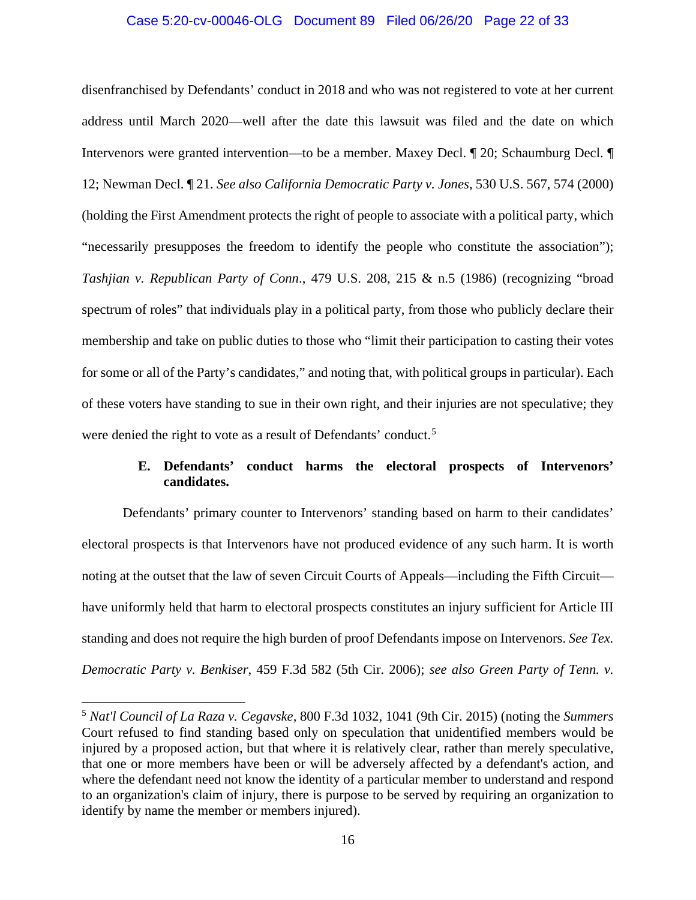## Case 5:20-cv-00046-OLG Document 89 Filed 06/26/20 Page 22 of 33

<span id="page-21-4"></span><span id="page-21-1"></span>disenfranchised by Defendants' conduct in 2018 and who was not registered to vote at her current address until March 2020—well after the date this lawsuit was filed and the date on which Intervenors were granted intervention—to be a member. Maxey Decl. ¶ 20; Schaumburg Decl. ¶ 12; Newman Decl. ¶ 21. *See also California Democratic Party v. Jones*, 530 U.S. 567, 574 (2000) (holding the First Amendment protects the right of people to associate with a political party, which "necessarily presupposes the freedom to identify the people who constitute the association"); *Tashjian v. Republican Party of Conn*., 479 U.S. 208, 215 & n.5 (1986) (recognizing "broad spectrum of roles" that individuals play in a political party, from those who publicly declare their membership and take on public duties to those who "limit their participation to casting their votes for some or all of the Party's candidates," and noting that, with political groups in particular). Each of these voters have standing to sue in their own right, and their injuries are not speculative; they were denied the right to vote as a result of Defendants' conduct.<sup>[5](#page-21-6)</sup>

## <span id="page-21-5"></span><span id="page-21-2"></span>**E. Defendants' conduct harms the electoral prospects of Intervenors' candidates.**

<span id="page-21-0"></span>Defendants' primary counter to Intervenors' standing based on harm to their candidates' electoral prospects is that Intervenors have not produced evidence of any such harm. It is worth noting at the outset that the law of seven Circuit Courts of Appeals—including the Fifth Circuit have uniformly held that harm to electoral prospects constitutes an injury sufficient for Article III standing and does not require the high burden of proof Defendants impose on Intervenors. *See Tex. Democratic Party v. Benkiser*, 459 F.3d 582 (5th Cir. 2006); *see also Green Party of Tenn. v.* 

 $\overline{\phantom{a}}$ 

<span id="page-21-6"></span><span id="page-21-3"></span><sup>5</sup> *Nat'l Council of La Raza v. Cegavske*, 800 F.3d 1032, 1041 (9th Cir. 2015) (noting the *Summers*  Court refused to find standing based only on speculation that unidentified members would be injured by a proposed action, but that where it is relatively clear, rather than merely speculative, that one or more members have been or will be adversely affected by a defendant's action, and where the defendant need not know the identity of a particular member to understand and respond to an organization's claim of injury, there is purpose to be served by requiring an organization to identify by name the member or members injured).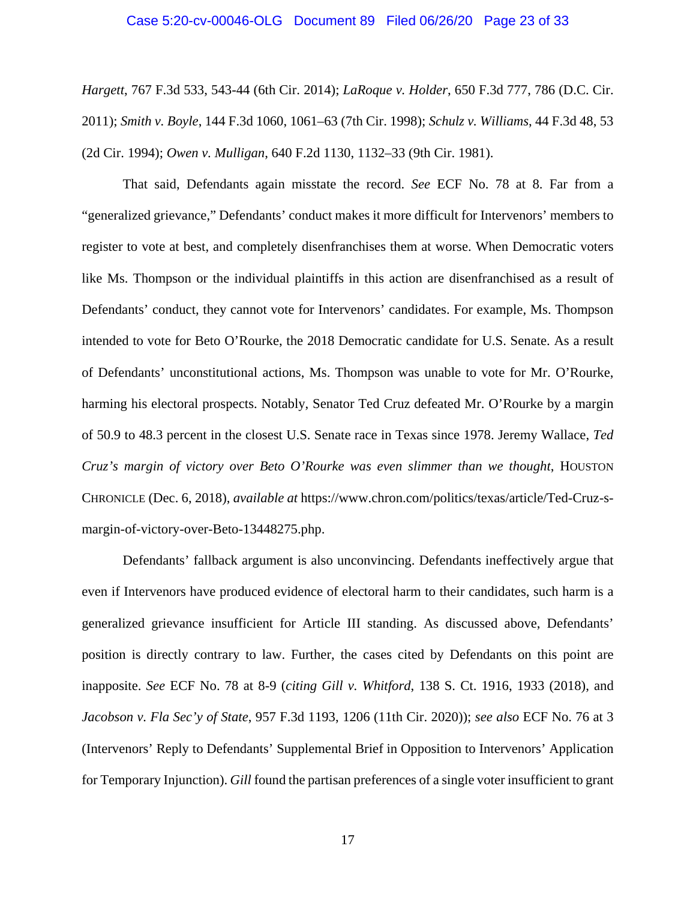#### <span id="page-22-3"></span><span id="page-22-1"></span>Case 5:20-cv-00046-OLG Document 89 Filed 06/26/20 Page 23 of 33

<span id="page-22-4"></span>*Hargett*, 767 F.3d 533, 543-44 (6th Cir. 2014); *LaRoque v. Holder*, 650 F.3d 777, 786 (D.C. Cir. 2011); *Smith v. Boyle*, 144 F.3d 1060, 1061–63 (7th Cir. 1998); *Schulz v. Williams*, 44 F.3d 48, 53 (2d Cir. 1994); *Owen v. Mulligan*, 640 F.2d 1130, 1132–33 (9th Cir. 1981).

<span id="page-22-2"></span>That said, Defendants again misstate the record. *See* ECF No. 78 at 8. Far from a "generalized grievance," Defendants' conduct makes it more difficult for Intervenors' members to register to vote at best, and completely disenfranchises them at worse. When Democratic voters like Ms. Thompson or the individual plaintiffs in this action are disenfranchised as a result of Defendants' conduct, they cannot vote for Intervenors' candidates. For example, Ms. Thompson intended to vote for Beto O'Rourke, the 2018 Democratic candidate for U.S. Senate. As a result of Defendants' unconstitutional actions, Ms. Thompson was unable to vote for Mr. O'Rourke, harming his electoral prospects. Notably, Senator Ted Cruz defeated Mr. O'Rourke by a margin of 50.9 to 48.3 percent in the closest U.S. Senate race in Texas since 1978. Jeremy Wallace, *Ted Cruz's margin of victory over Beto O'Rourke was even slimmer than we thought*, HOUSTON CHRONICLE (Dec. 6, 2018), *available at* https://www.chron.com/politics/texas/article/Ted-Cruz-smargin-of-victory-over-Beto-13448275.php.

<span id="page-22-0"></span>Defendants' fallback argument is also unconvincing. Defendants ineffectively argue that even if Intervenors have produced evidence of electoral harm to their candidates, such harm is a generalized grievance insufficient for Article III standing. As discussed above, Defendants' position is directly contrary to law. Further, the cases cited by Defendants on this point are inapposite. *See* ECF No. 78 at 8-9 (*citing Gill v. Whitford*, 138 S. Ct. 1916, 1933 (2018), and *Jacobson v. Fla Sec'y of State*, 957 F.3d 1193, 1206 (11th Cir. 2020)); *see also* ECF No. 76 at 3 (Intervenors' Reply to Defendants' Supplemental Brief in Opposition to Intervenors' Application for Temporary Injunction). *Gill* found the partisan preferences of a single voter insufficient to grant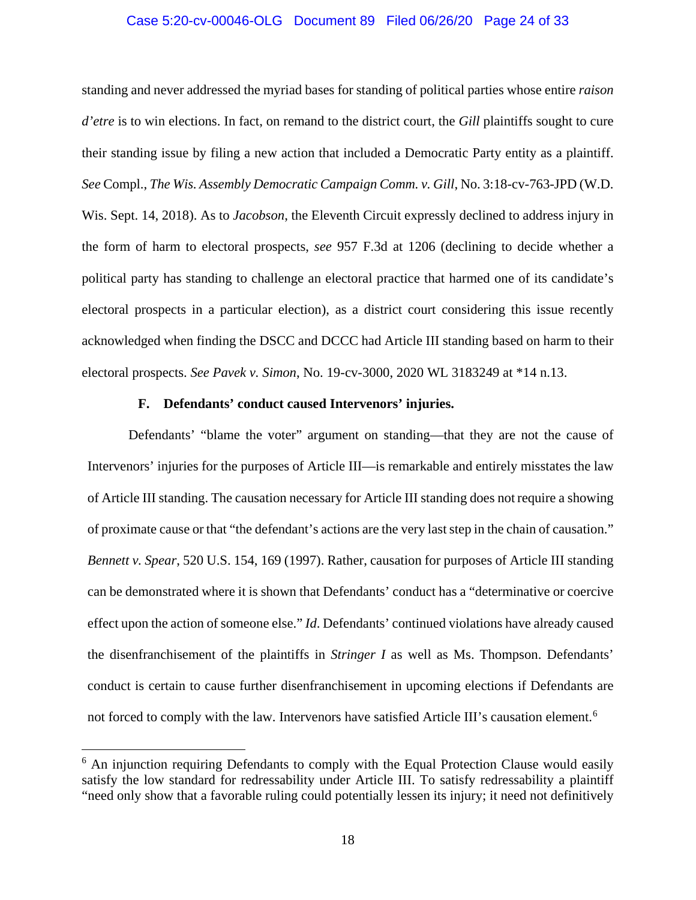## Case 5:20-cv-00046-OLG Document 89 Filed 06/26/20 Page 24 of 33

<span id="page-23-4"></span><span id="page-23-2"></span>standing and never addressed the myriad bases for standing of political parties whose entire *raison d'etre* is to win elections. In fact, on remand to the district court, the *Gill* plaintiffs sought to cure their standing issue by filing a new action that included a Democratic Party entity as a plaintiff. *See* Compl., *The Wis. Assembly Democratic Campaign Comm. v. Gill*, No. 3:18-cv-763-JPD (W.D. Wis. Sept. 14, 2018). As to *Jacobson*, the Eleventh Circuit expressly declined to address injury in the form of harm to electoral prospects, *see* 957 F.3d at 1206 (declining to decide whether a political party has standing to challenge an electoral practice that harmed one of its candidate's electoral prospects in a particular election), as a district court considering this issue recently acknowledged when finding the DSCC and DCCC had Article III standing based on harm to their electoral prospects. *See Pavek v. Simon*, No. 19-cv-3000, 2020 WL 3183249 at \*14 n.13.

## <span id="page-23-3"></span>**F. Defendants' conduct caused Intervenors' injuries.**

<span id="page-23-1"></span><span id="page-23-0"></span>Defendants' "blame the voter" argument on standing—that they are not the cause of Intervenors' injuries for the purposes of Article III—is remarkable and entirely misstates the law of Article III standing. The causation necessary for Article III standing does not require a showing of proximate cause or that "the defendant's actions are the very last step in the chain of causation." *Bennett v. Spear*, 520 U.S. 154, 169 (1997). Rather, causation for purposes of Article III standing can be demonstrated where it is shown that Defendants' conduct has a "determinative or coercive effect upon the action of someone else." *Id*. Defendants' continued violations have already caused the disenfranchisement of the plaintiffs in *Stringer I* as well as Ms. Thompson. Defendants' conduct is certain to cause further disenfranchisement in upcoming elections if Defendants are not forced to comply with the law. Intervenors have satisfied Article III's causation element.<sup>[6](#page-23-5)</sup>

 $\overline{a}$ 

<span id="page-23-5"></span> $6$  An injunction requiring Defendants to comply with the Equal Protection Clause would easily satisfy the low standard for redressability under Article III. To satisfy redressability a plaintiff "need only show that a favorable ruling could potentially lessen its injury; it need not definitively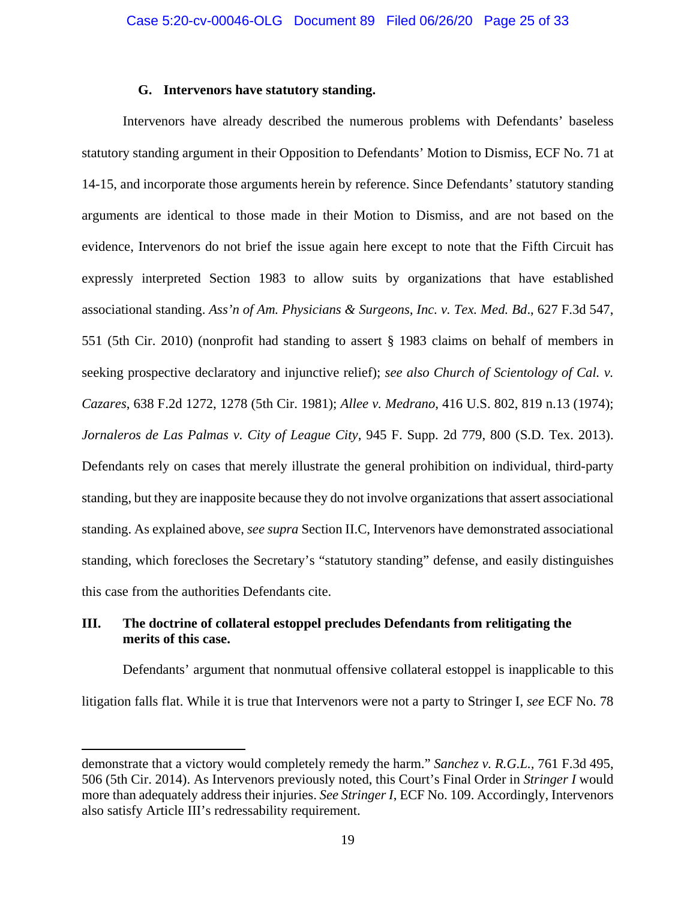## <span id="page-24-4"></span>**G. Intervenors have statutory standing.**

<span id="page-24-3"></span><span id="page-24-0"></span>Intervenors have already described the numerous problems with Defendants' baseless statutory standing argument in their Opposition to Defendants' Motion to Dismiss, ECF No. 71 at 14-15, and incorporate those arguments herein by reference. Since Defendants' statutory standing arguments are identical to those made in their Motion to Dismiss, and are not based on the evidence, Intervenors do not brief the issue again here except to note that the Fifth Circuit has expressly interpreted Section 1983 to allow suits by organizations that have established associational standing. *Ass'n of Am. Physicians & Surgeons, Inc. v. Tex. Med. Bd*., 627 F.3d 547, 551 (5th Cir. 2010) (nonprofit had standing to assert § 1983 claims on behalf of members in seeking prospective declaratory and injunctive relief); *see also Church of Scientology of Cal. v. Cazares*, 638 F.2d 1272, 1278 (5th Cir. 1981); *Allee v. Medrano*, 416 U.S. 802, 819 n.13 (1974); *Jornaleros de Las Palmas v. City of League City*, 945 F. Supp. 2d 779, 800 (S.D. Tex. 2013). Defendants rely on cases that merely illustrate the general prohibition on individual, third-party standing, but they are inapposite because they do not involve organizations that assert associational standing. As explained above, *see supra* Section II.C, Intervenors have demonstrated associational standing, which forecloses the Secretary's "statutory standing" defense, and easily distinguishes this case from the authorities Defendants cite.

## <span id="page-24-5"></span><span id="page-24-2"></span><span id="page-24-1"></span>**III. The doctrine of collateral estoppel precludes Defendants from relitigating the merits of this case.**

<span id="page-24-6"></span> $\overline{a}$ 

Defendants' argument that nonmutual offensive collateral estoppel is inapplicable to this litigation falls flat. While it is true that Intervenors were not a party to Stringer I, *see* ECF No. 78

demonstrate that a victory would completely remedy the harm." *Sanchez v. R.G.L.,* 761 F.3d 495, 506 (5th Cir. 2014). As Intervenors previously noted, this Court's Final Order in *Stringer I* would more than adequately address their injuries. *See Stringer I*, ECF No. 109. Accordingly, Intervenors also satisfy Article III's redressability requirement.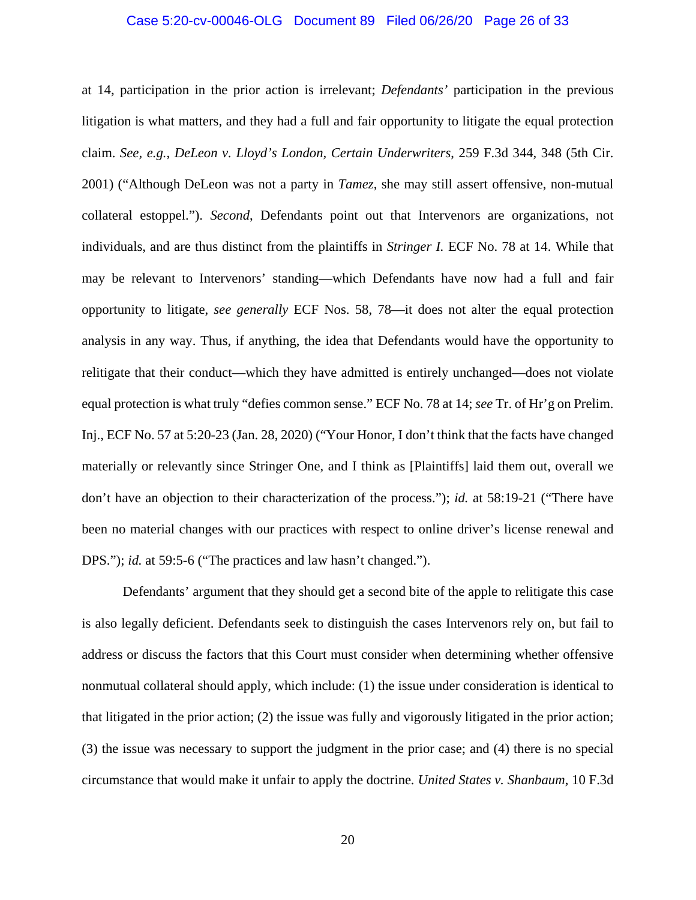## Case 5:20-cv-00046-OLG Document 89 Filed 06/26/20 Page 26 of 33

<span id="page-25-0"></span>at 14, participation in the prior action is irrelevant; *Defendants'* participation in the previous litigation is what matters, and they had a full and fair opportunity to litigate the equal protection claim. *See, e.g.*, *DeLeon v. Lloyd's London, Certain Underwriters*, 259 F.3d 344, 348 (5th Cir. 2001) ("Although DeLeon was not a party in *Tamez*, she may still assert offensive, non-mutual collateral estoppel."). *Second*, Defendants point out that Intervenors are organizations, not individuals, and are thus distinct from the plaintiffs in *Stringer I.* ECF No. 78 at 14. While that may be relevant to Intervenors' standing—which Defendants have now had a full and fair opportunity to litigate, *see generally* ECF Nos. 58, 78—it does not alter the equal protection analysis in any way. Thus, if anything, the idea that Defendants would have the opportunity to relitigate that their conduct—which they have admitted is entirely unchanged—does not violate equal protection is what truly "defies common sense." ECF No. 78 at 14; *see* Tr. of Hr'g on Prelim. Inj., ECF No. 57 at 5:20-23 (Jan. 28, 2020) ("Your Honor, I don't think that the facts have changed materially or relevantly since Stringer One, and I think as [Plaintiffs] laid them out, overall we don't have an objection to their characterization of the process."); *id.* at 58:19-21 ("There have been no material changes with our practices with respect to online driver's license renewal and DPS."); *id.* at 59:5-6 ("The practices and law hasn't changed.").

<span id="page-25-1"></span>Defendants' argument that they should get a second bite of the apple to relitigate this case is also legally deficient. Defendants seek to distinguish the cases Intervenors rely on, but fail to address or discuss the factors that this Court must consider when determining whether offensive nonmutual collateral should apply, which include: (1) the issue under consideration is identical to that litigated in the prior action; (2) the issue was fully and vigorously litigated in the prior action; (3) the issue was necessary to support the judgment in the prior case; and (4) there is no special circumstance that would make it unfair to apply the doctrine*. United States v. Shanbaum*, 10 F.3d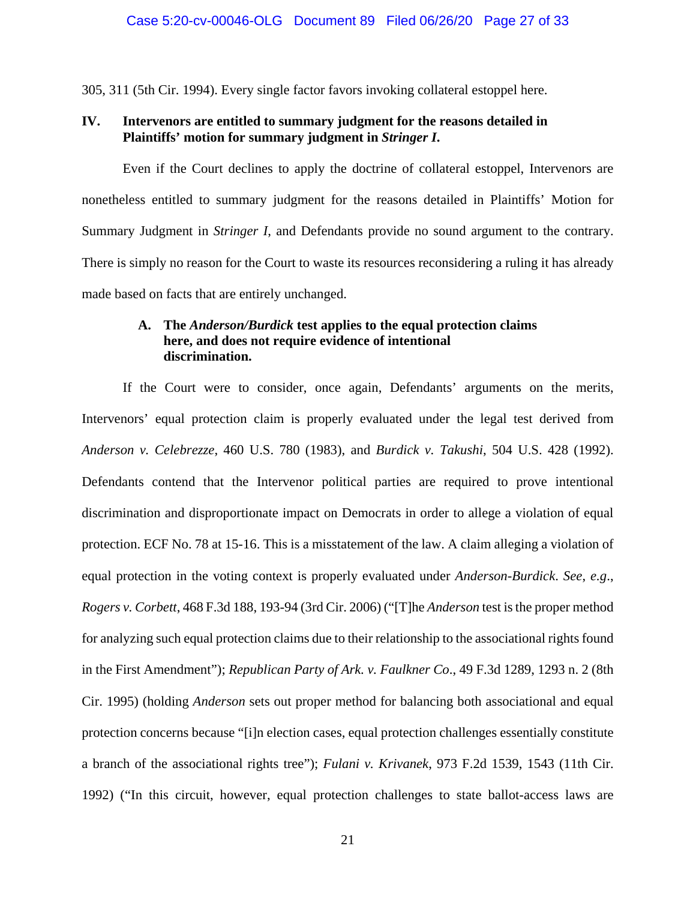305, 311 (5th Cir. 1994). Every single factor favors invoking collateral estoppel here.

## <span id="page-26-0"></span>**IV. Intervenors are entitled to summary judgment for the reasons detailed in Plaintiffs' motion for summary judgment in** *Stringer I***.**

Even if the Court declines to apply the doctrine of collateral estoppel, Intervenors are nonetheless entitled to summary judgment for the reasons detailed in Plaintiffs' Motion for Summary Judgment in *Stringer I*, and Defendants provide no sound argument to the contrary. There is simply no reason for the Court to waste its resources reconsidering a ruling it has already made based on facts that are entirely unchanged.

## <span id="page-26-3"></span><span id="page-26-1"></span>**A. The** *Anderson/Burdick* **test applies to the equal protection claims here, and does not require evidence of intentional discrimination.**

<span id="page-26-6"></span><span id="page-26-5"></span><span id="page-26-4"></span><span id="page-26-2"></span>If the Court were to consider, once again, Defendants' arguments on the merits, Intervenors' equal protection claim is properly evaluated under the legal test derived from *Anderson v. Celebrezze*, 460 U.S. 780 (1983), and *Burdick v. Takushi*, 504 U.S. 428 (1992). Defendants contend that the Intervenor political parties are required to prove intentional discrimination and disproportionate impact on Democrats in order to allege a violation of equal protection. ECF No. 78 at 15-16. This is a misstatement of the law. A claim alleging a violation of equal protection in the voting context is properly evaluated under *Anderson-Burdick*. *See*, *e.g*., *Rogers v. Corbett*, 468 F.3d 188, 193-94 (3rd Cir. 2006) ("[T]he *Anderson* test is the proper method for analyzing such equal protection claims due to their relationship to the associational rights found in the First Amendment"); *Republican Party of Ark. v. Faulkner Co*., 49 F.3d 1289, 1293 n. 2 (8th Cir. 1995) (holding *Anderson* sets out proper method for balancing both associational and equal protection concerns because "[i]n election cases, equal protection challenges essentially constitute a branch of the associational rights tree"); *Fulani v. Krivanek*, 973 F.2d 1539, 1543 (11th Cir. 1992) ("In this circuit, however, equal protection challenges to state ballot-access laws are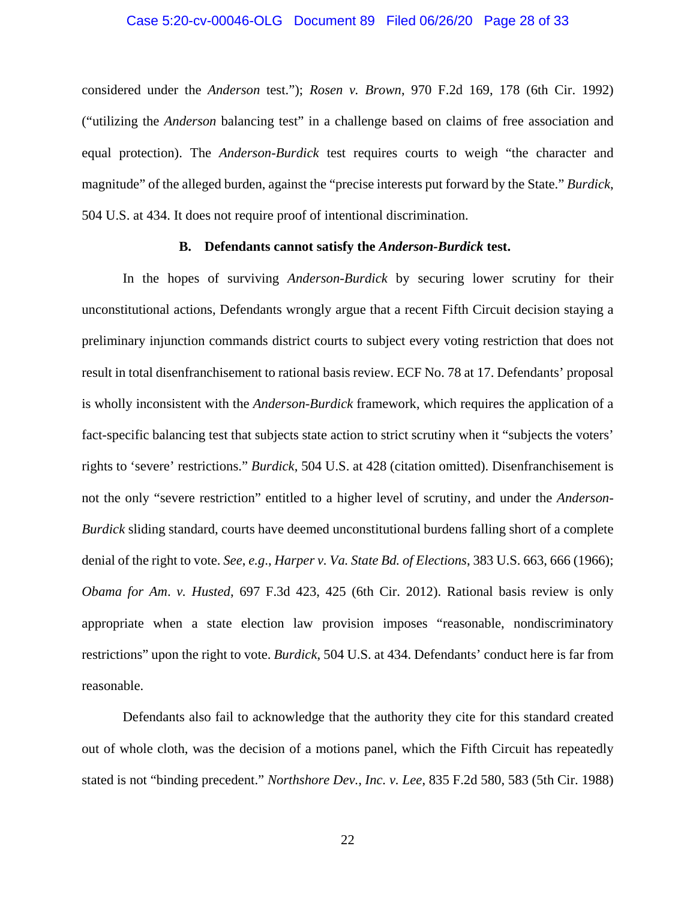## <span id="page-27-6"></span><span id="page-27-1"></span>Case 5:20-cv-00046-OLG Document 89 Filed 06/26/20 Page 28 of 33

considered under the *Anderson* test."); *Rosen v. Brown*, 970 F.2d 169, 178 (6th Cir. 1992) ("utilizing the *Anderson* balancing test" in a challenge based on claims of free association and equal protection). The *Anderson-Burdick* test requires courts to weigh "the character and magnitude" of the alleged burden, against the "precise interests put forward by the State." *Burdick*, 504 U.S. at 434. It does not require proof of intentional discrimination.

## <span id="page-27-2"></span>**B. Defendants cannot satisfy the** *Anderson-Burdick* **test.**

<span id="page-27-0"></span>In the hopes of surviving *Anderson-Burdick* by securing lower scrutiny for their unconstitutional actions, Defendants wrongly argue that a recent Fifth Circuit decision staying a preliminary injunction commands district courts to subject every voting restriction that does not result in total disenfranchisement to rational basis review. ECF No. 78 at 17. Defendants' proposal is wholly inconsistent with the *Anderson-Burdick* framework, which requires the application of a fact-specific balancing test that subjects state action to strict scrutiny when it "subjects the voters' rights to 'severe' restrictions." *Burdick*, 504 U.S. at 428 (citation omitted). Disenfranchisement is not the only "severe restriction" entitled to a higher level of scrutiny, and under the *Anderson-Burdick* sliding standard, courts have deemed unconstitutional burdens falling short of a complete denial of the right to vote. *See*, *e.g*., *Harper v. Va. State Bd. of Elections*, 383 U.S. 663, 666 (1966); *Obama for Am*. *v. Husted*, 697 F.3d 423, 425 (6th Cir. 2012). Rational basis review is only appropriate when a state election law provision imposes "reasonable, nondiscriminatory restrictions" upon the right to vote. *Burdick*, 504 U.S. at 434. Defendants' conduct here is far from reasonable.

<span id="page-27-5"></span><span id="page-27-3"></span>Defendants also fail to acknowledge that the authority they cite for this standard created out of whole cloth, was the decision of a motions panel, which the Fifth Circuit has repeatedly stated is not "binding precedent." *Northshore Dev., Inc. v. Lee*, 835 F.2d 580, 583 (5th Cir. 1988)

<span id="page-27-4"></span>22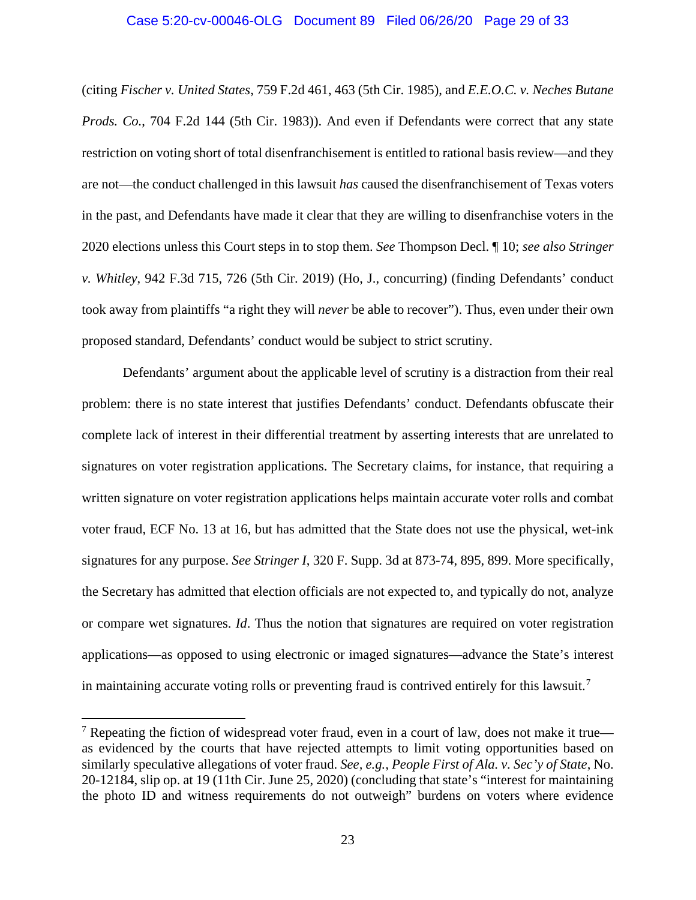## <span id="page-28-1"></span>Case 5:20-cv-00046-OLG Document 89 Filed 06/26/20 Page 29 of 33

(citing *Fischer v. United States*, 759 F.2d 461, 463 (5th Cir. 1985), and *E.E.O.C. v. Neches Butane Prods. Co.*, 704 F.2d 144 (5th Cir. 1983)). And even if Defendants were correct that any state restriction on voting short of total disenfranchisement is entitled to rational basis review—and they are not—the conduct challenged in this lawsuit *has* caused the disenfranchisement of Texas voters in the past, and Defendants have made it clear that they are willing to disenfranchise voters in the 2020 elections unless this Court steps in to stop them. *See* Thompson Decl. ¶ 10; *see also Stringer v. Whitley*, 942 F.3d 715, 726 (5th Cir. 2019) (Ho, J., concurring) (finding Defendants' conduct took away from plaintiffs "a right they will *never* be able to recover"). Thus, even under their own proposed standard, Defendants' conduct would be subject to strict scrutiny.

Defendants' argument about the applicable level of scrutiny is a distraction from their real problem: there is no state interest that justifies Defendants' conduct. Defendants obfuscate their complete lack of interest in their differential treatment by asserting interests that are unrelated to signatures on voter registration applications. The Secretary claims, for instance, that requiring a written signature on voter registration applications helps maintain accurate voter rolls and combat voter fraud, ECF No. 13 at 16, but has admitted that the State does not use the physical, wet-ink signatures for any purpose. *See Stringer I*, 320 F. Supp. 3d at 873-74, 895, 899. More specifically, the Secretary has admitted that election officials are not expected to, and typically do not, analyze or compare wet signatures. *Id*. Thus the notion that signatures are required on voter registration applications—as opposed to using electronic or imaged signatures—advance the State's interest in maintaining accurate voting rolls or preventing fraud is contrived entirely for this lawsuit.<sup>[7](#page-28-2)</sup>

<span id="page-28-0"></span>l

<span id="page-28-2"></span><sup>&</sup>lt;sup>7</sup> Repeating the fiction of widespread voter fraud, even in a court of law, does not make it true as evidenced by the courts that have rejected attempts to limit voting opportunities based on similarly speculative allegations of voter fraud. *See, e.g.*, *People First of Ala. v. Sec'y of State*, No. 20-12184, slip op. at 19 (11th Cir. June 25, 2020) (concluding that state's "interest for maintaining the photo ID and witness requirements do not outweigh" burdens on voters where evidence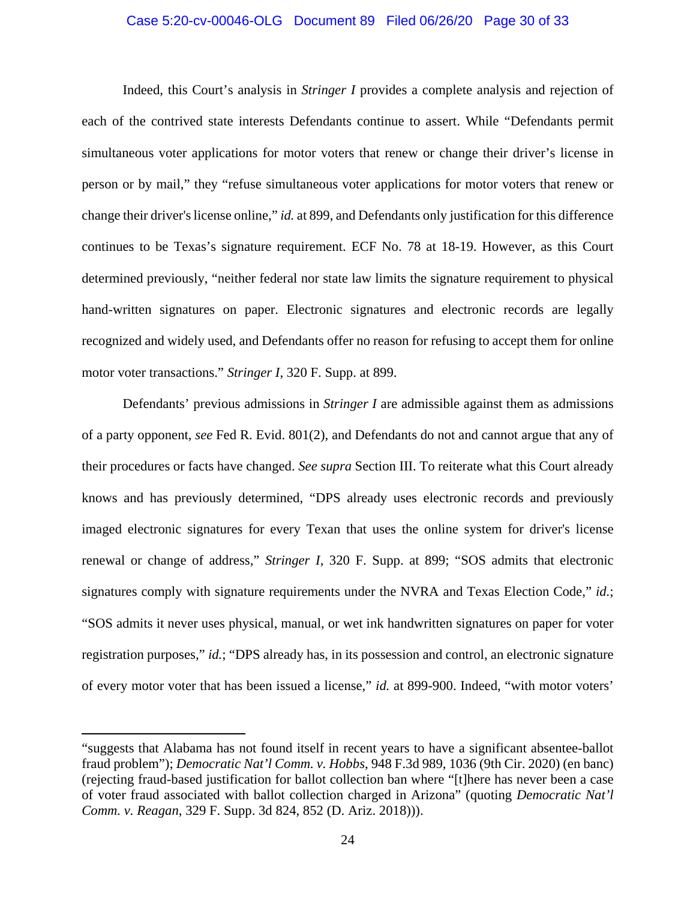## Case 5:20-cv-00046-OLG Document 89 Filed 06/26/20 Page 30 of 33

Indeed, this Court's analysis in *Stringer I* provides a complete analysis and rejection of each of the contrived state interests Defendants continue to assert. While "Defendants permit simultaneous voter applications for motor voters that renew or change their driver's license in person or by mail," they "refuse simultaneous voter applications for motor voters that renew or change their driver's license online," *id.* at 899, and Defendants only justification for this difference continues to be Texas's signature requirement. ECF No. 78 at 18-19. However, as this Court determined previously, "neither federal nor state law limits the signature requirement to physical hand-written signatures on paper. Electronic signatures and electronic records are legally recognized and widely used, and Defendants offer no reason for refusing to accept them for online motor voter transactions." *Stringer I*, 320 F. Supp. at 899.

<span id="page-29-1"></span>Defendants' previous admissions in *Stringer I* are admissible against them as admissions of a party opponent, *see* Fed R. Evid. 801(2), and Defendants do not and cannot argue that any of their procedures or facts have changed. *See supra* Section III. To reiterate what this Court already knows and has previously determined, "DPS already uses electronic records and previously imaged electronic signatures for every Texan that uses the online system for driver's license renewal or change of address," *Stringer I*, 320 F. Supp. at 899; "SOS admits that electronic signatures comply with signature requirements under the NVRA and Texas Election Code," *id.*; "SOS admits it never uses physical, manual, or wet ink handwritten signatures on paper for voter registration purposes," *id.*; "DPS already has, in its possession and control, an electronic signature of every motor voter that has been issued a license," *id.* at 899-900. Indeed, "with motor voters'

 $\overline{a}$ 

<span id="page-29-0"></span><sup>&</sup>quot;suggests that Alabama has not found itself in recent years to have a significant absentee-ballot fraud problem"); *Democratic Nat'l Comm. v. Hobbs*, 948 F.3d 989, 1036 (9th Cir. 2020) (en banc) (rejecting fraud-based justification for ballot collection ban where "[t]here has never been a case of voter fraud associated with ballot collection charged in Arizona" (quoting *Democratic Nat'l Comm. v. Reagan*, 329 F. Supp. 3d 824, 852 (D. Ariz. 2018))).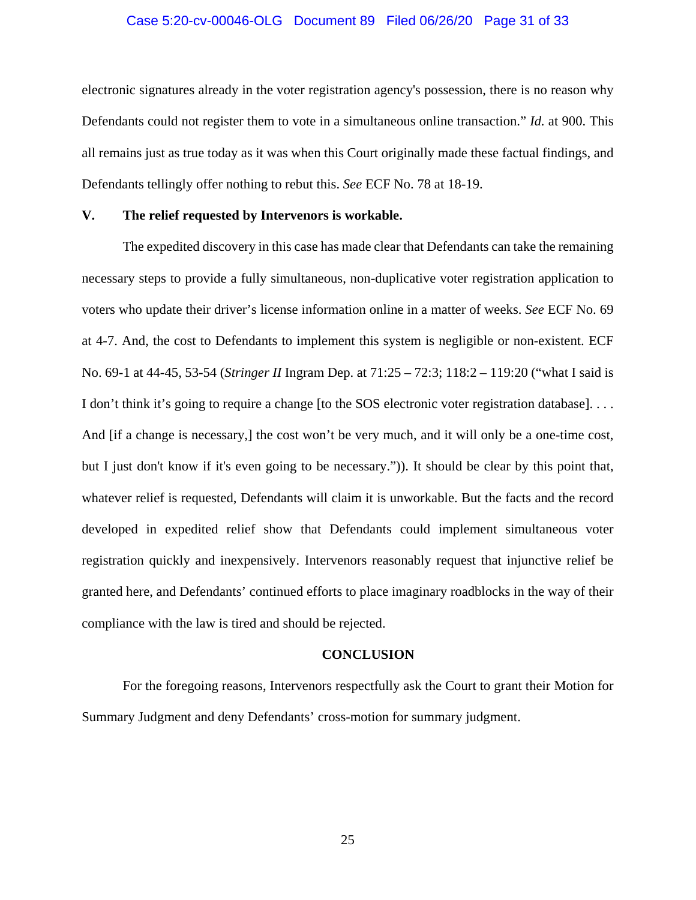## Case 5:20-cv-00046-OLG Document 89 Filed 06/26/20 Page 31 of 33

electronic signatures already in the voter registration agency's possession, there is no reason why Defendants could not register them to vote in a simultaneous online transaction." *Id.* at 900. This all remains just as true today as it was when this Court originally made these factual findings, and Defendants tellingly offer nothing to rebut this. *See* ECF No. 78 at 18-19.

## <span id="page-30-0"></span>**V. The relief requested by Intervenors is workable.**

The expedited discovery in this case has made clear that Defendants can take the remaining necessary steps to provide a fully simultaneous, non-duplicative voter registration application to voters who update their driver's license information online in a matter of weeks. *See* ECF No. 69 at 4-7. And, the cost to Defendants to implement this system is negligible or non-existent. ECF No. 69-1 at 44-45, 53-54 (*Stringer II* Ingram Dep. at 71:25 – 72:3; 118:2 – 119:20 ("what I said is I don't think it's going to require a change [to the SOS electronic voter registration database]. . . . And [if a change is necessary,] the cost won't be very much, and it will only be a one-time cost, but I just don't know if it's even going to be necessary.")). It should be clear by this point that, whatever relief is requested, Defendants will claim it is unworkable. But the facts and the record developed in expedited relief show that Defendants could implement simultaneous voter registration quickly and inexpensively. Intervenors reasonably request that injunctive relief be granted here, and Defendants' continued efforts to place imaginary roadblocks in the way of their compliance with the law is tired and should be rejected.

#### **CONCLUSION**

<span id="page-30-1"></span>For the foregoing reasons, Intervenors respectfully ask the Court to grant their Motion for Summary Judgment and deny Defendants' cross-motion for summary judgment.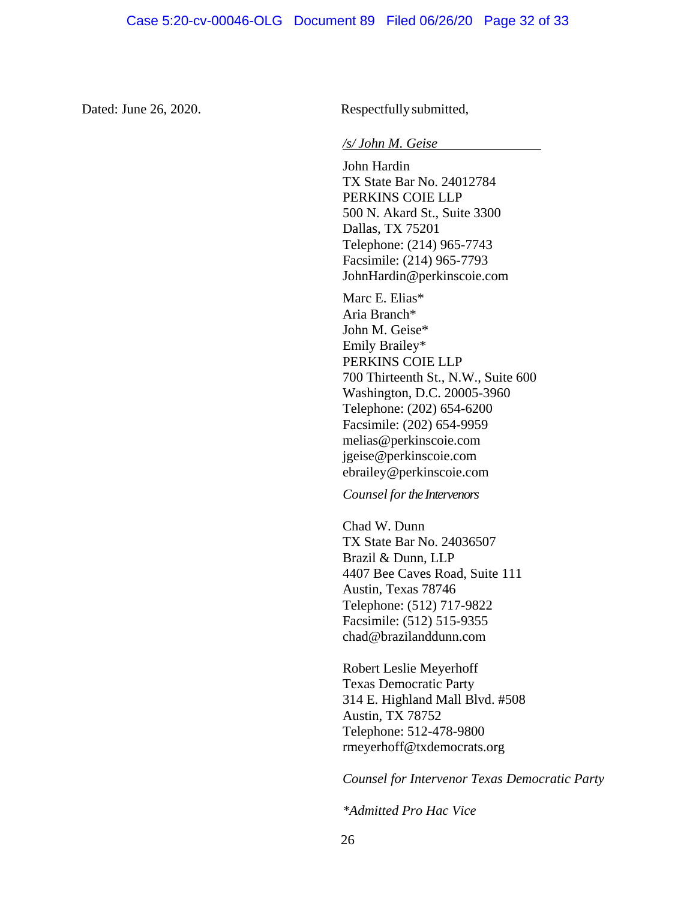Dated: June 26, 2020. Respectfully submitted,

#### */s/ John M. Geise*

John Hardin TX State Bar No. 24012784 PERKINS COIE LLP 500 N. Akard St., Suite 3300 Dallas, TX 75201 Telephone: (214) 965-7743 Facsimile: (214) 965-7793 JohnHardin@perkinscoie.com

Marc E. Elias\* Aria Branch\* John M. Geise\* Emily Brailey\* PERKINS COIE LLP 700 Thirteenth St., N.W., Suite 600 Washington, D.C. 20005-3960 Telephone: (202) 654-6200 Facsimile: (202) 654-9959 melias@perkinscoie.com jgeise@perkinscoie.com ebrailey@perkinscoie.com

*Counsel for the Intervenors* 

Chad W. Dunn TX State Bar No. 24036507 Brazil & Dunn, LLP 4407 Bee Caves Road, Suite 111 Austin, Texas 78746 Telephone: (512) 717-9822 Facsimile: (512) 515-9355 chad@brazilanddunn.com

Robert Leslie Meyerhoff Texas Democratic Party 314 E. Highland Mall Blvd. #508 Austin, TX 78752 Telephone: 512-478-9800 rmeyerhoff@txdemocrats.org

*Counsel for Intervenor Texas Democratic Party*

*\*Admitted Pro Hac Vice*